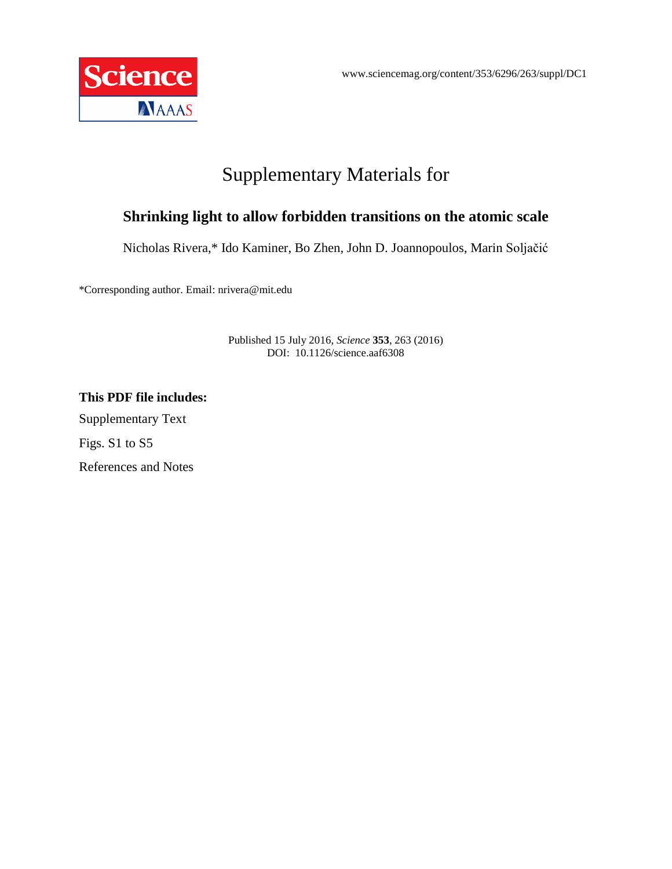

# Supplementary Materials for

## **Shrinking light to allow forbidden transitions on the atomic scale**

Nicholas Rivera,\* Ido Kaminer, Bo Zhen, John D. Joannopoulos, Marin Soljačić

\*Corresponding author. Email: nrivera@mit.edu

Published 15 July 2016, *Science* **353**, 263 (2016) DOI: 10.1126/science.aaf6308

**This PDF file includes:** Supplementary Text Figs. S1 to S5 References and Notes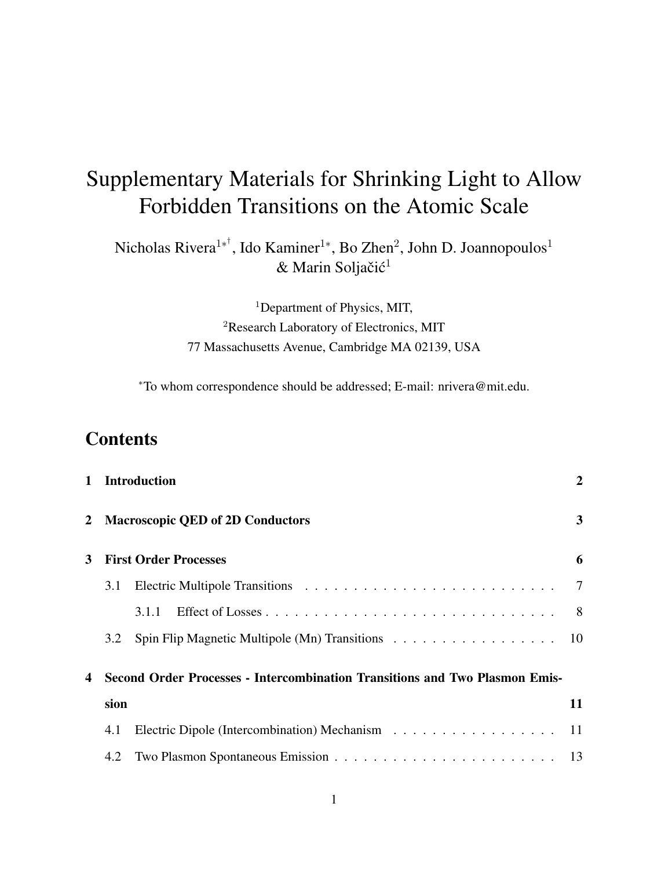# **Contents**

|                                   | 1 Introduction<br>2 Macroscopic QED of 2D Conductors                        |                                                  |                |
|-----------------------------------|-----------------------------------------------------------------------------|--------------------------------------------------|----------------|
|                                   |                                                                             |                                                  |                |
| <b>First Order Processes</b><br>3 |                                                                             |                                                  | 6              |
|                                   | 3.1                                                                         |                                                  | 7              |
|                                   |                                                                             | 3.1.1                                            | 8 <sup>8</sup> |
|                                   | 3.2                                                                         | Spin Flip Magnetic Multipole (Mn) Transitions 10 |                |
| 4                                 | Second Order Processes - Intercombination Transitions and Two Plasmon Emis- |                                                  |                |
|                                   | sion                                                                        |                                                  | 11             |
|                                   | 4.1                                                                         |                                                  | -11            |
|                                   | 4.2                                                                         |                                                  |                |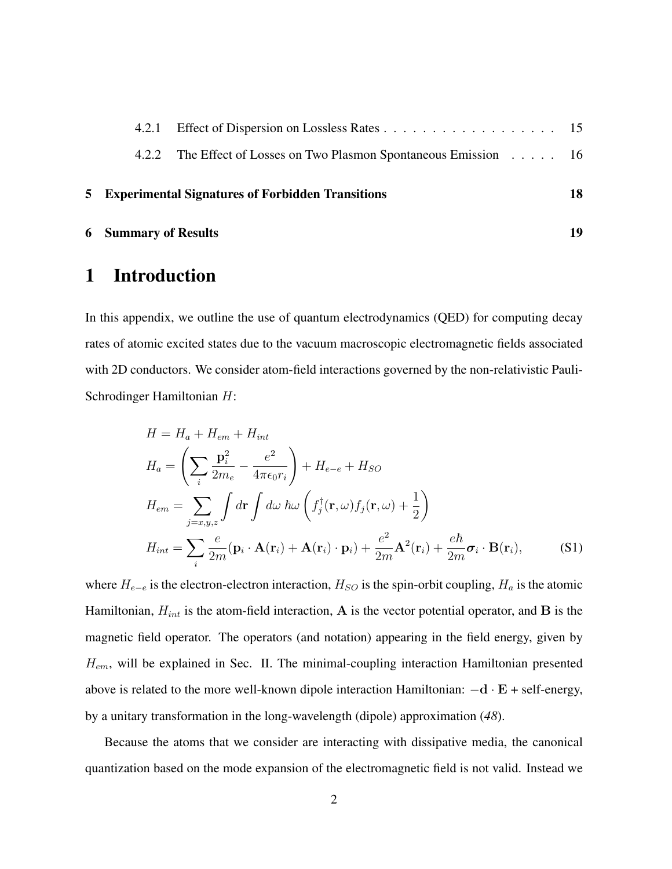|  | <b>5</b> Experimental Signatures of Forbidden Transitions         | 18 |
|--|-------------------------------------------------------------------|----|
|  | 4.2.2 The Effect of Losses on Two Plasmon Spontaneous Emission 16 |    |
|  |                                                                   |    |

### 6 Summary of Results 19

# 1 Introduction

In this appendix, we outline the use of quantum electrodynamics (QED) for computing decay rates of atomic excited states due to the vacuum macroscopic electromagnetic fields associated with 2D conductors. We consider atom-field interactions governed by the non-relativistic Pauli-Schrodinger Hamiltonian H:

$$
H = H_a + H_{em} + H_{int}
$$
  
\n
$$
H_a = \left(\sum_i \frac{\mathbf{p}_i^2}{2m_e} - \frac{e^2}{4\pi\epsilon_0 r_i}\right) + H_{e-e} + H_{SO}
$$
  
\n
$$
H_{em} = \sum_{j=x,y,z} \int d\mathbf{r} \int d\omega \ \hbar \omega \left(f_j^{\dagger}(\mathbf{r}, \omega) f_j(\mathbf{r}, \omega) + \frac{1}{2}\right)
$$
  
\n
$$
H_{int} = \sum_i \frac{e}{2m} (\mathbf{p}_i \cdot \mathbf{A}(\mathbf{r}_i) + \mathbf{A}(\mathbf{r}_i) \cdot \mathbf{p}_i) + \frac{e^2}{2m} \mathbf{A}^2(\mathbf{r}_i) + \frac{e\hbar}{2m} \boldsymbol{\sigma}_i \cdot \mathbf{B}(\mathbf{r}_i),
$$
\n(S1)

where  $H_{e-e}$  is the electron-electron interaction,  $H_{SO}$  is the spin-orbit coupling,  $H_a$  is the atomic Hamiltonian,  $H_{int}$  is the atom-field interaction, A is the vector potential operator, and B is the magnetic field operator. The operators (and notation) appearing in the field energy, given by  $H_{em}$ , will be explained in Sec. II. The minimal-coupling interaction Hamiltonian presented above is related to the more well-known dipole interaction Hamiltonian:  $-d \cdot E$  + self-energy, by a unitary transformation in the long-wavelength (dipole) approximation (*48*).

Because the atoms that we consider are interacting with dissipative media, the canonical quantization based on the mode expansion of the electromagnetic field is not valid. Instead we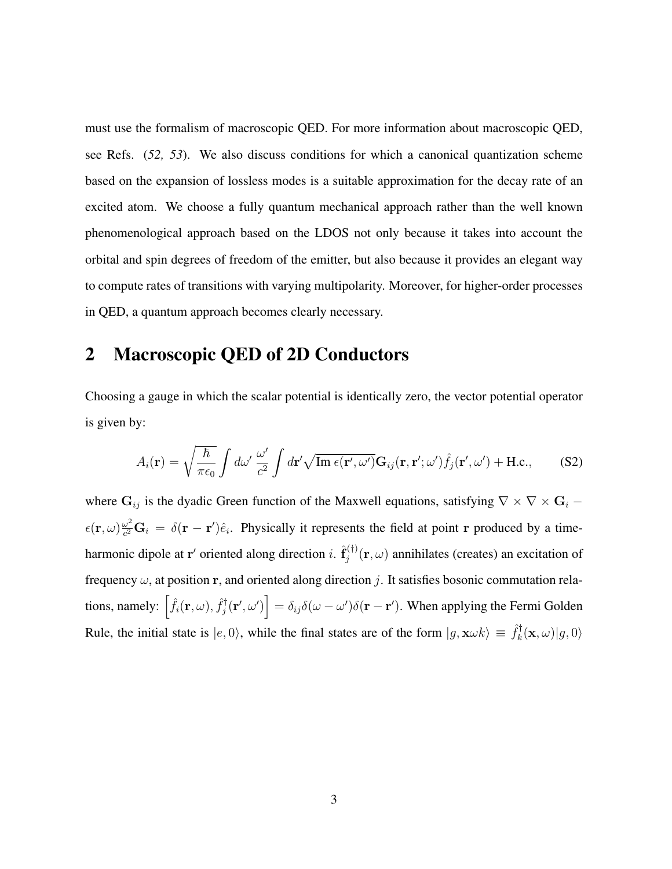must use the formalism of macroscopic QED. For more information about macroscopic QED, see Refs. (*52, 53*). We also discuss conditions for which a canonical quantization scheme based on the expansion of lossless modes is a suitable approximation for the decay rate of an excited atom. We choose a fully quantum mechanical approach rather than the well known phenomenological approach based on the LDOS not only because it takes into account the orbital and spin degrees of freedom of the emitter, but also because it provides an elegant way to compute rates of transitions with varying multipolarity. Moreover, for higher-order processes in QED, a quantum approach becomes clearly necessary.

## 2 Macroscopic QED of 2D Conductors

Choosing a gauge in which the scalar potential is identically zero, the vector potential operator is given by:

$$
A_i(\mathbf{r}) = \sqrt{\frac{\hbar}{\pi \epsilon_0}} \int d\omega' \frac{\omega'}{c^2} \int d\mathbf{r}' \sqrt{\text{Im } \epsilon(\mathbf{r}', \omega')} \mathbf{G}_{ij}(\mathbf{r}, \mathbf{r}'; \omega') \hat{f}_j(\mathbf{r}', \omega') + \text{H.c.}, \quad (S2)
$$

where  $G_{ij}$  is the dyadic Green function of the Maxwell equations, satisfying  $\nabla \times \nabla \times G_i$  –  $\epsilon(\mathbf{r}, \omega) \frac{\omega^2}{c^2}$  $\frac{\omega^2}{c^2}$ **G**<sub>i</sub> =  $\delta(\mathbf{r} - \mathbf{r}')\hat{e}_i$ . Physically it represents the field at point **r** produced by a timeharmonic dipole at r' oriented along direction i.  $\hat{\mathbf{f}}_i^{(\dagger)}$  $j_j^{(1)}(\mathbf{r}, \omega)$  annihilates (creates) an excitation of frequency  $\omega$ , at position r, and oriented along direction j. It satisfies bosonic commutation relations, namely:  $\left[\hat{f}_i(\mathbf{r}, \omega), \hat{f}_i^{\dagger}\right]$  $\big[\hat{g}_j^\dagger(\mathbf{r}', \omega')\big] = \delta_{ij}\delta(\omega-\omega')\delta(\mathbf{r}-\mathbf{r}').$  When applying the Fermi Golden Rule, the initial state is  $|e, 0\rangle$ , while the final states are of the form  $|g, \mathbf{x} \omega k \rangle \equiv \hat{f}_k^{\dagger}$  $\langle \mathbf{x}, \omega \rangle | g, 0 \rangle$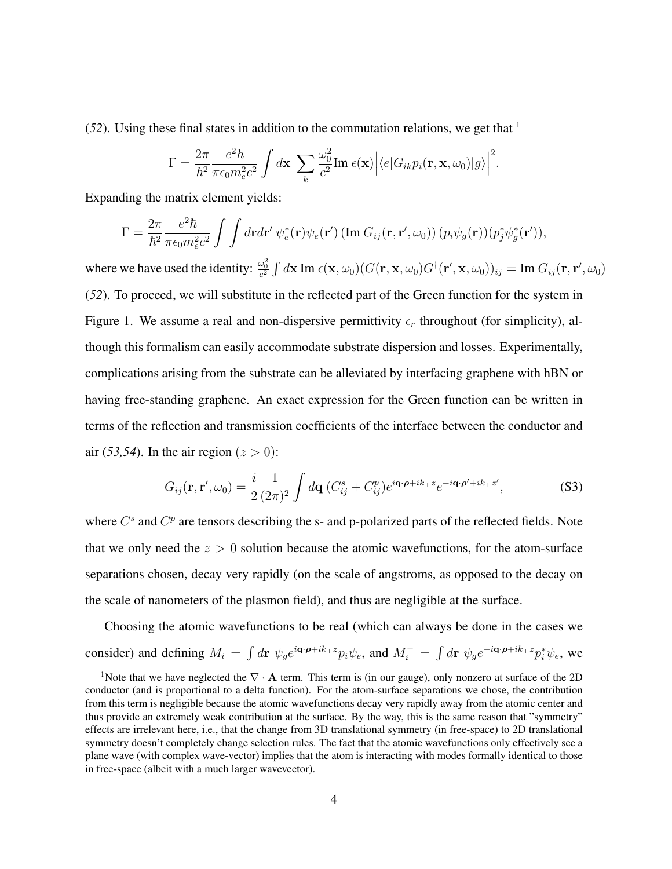(*52*). Using these final states in addition to the commutation relations, we get that <sup>1</sup>

$$
\Gamma = \frac{2\pi}{\hbar^2} \frac{e^2 \hbar}{\pi \epsilon_0 m_e^2 c^2} \int d\mathbf{x} \sum_k \frac{\omega_0^2}{c^2} \text{Im } \epsilon(\mathbf{x}) \Big| \langle e| G_{ik} p_i(\mathbf{r}, \mathbf{x}, \omega_0) |g\rangle \Big|^2.
$$

Expanding the matrix element yields:

$$
\Gamma = \frac{2\pi}{\hbar^2} \frac{e^2 \hbar}{\pi \epsilon_0 m_e^2 c^2} \int \int d\mathbf{r} d\mathbf{r}' \, \psi_e^*(\mathbf{r}) \psi_e(\mathbf{r}') (\text{Im } G_{ij}(\mathbf{r}, \mathbf{r}', \omega_0)) (p_i \psi_g(\mathbf{r})) (p_j^* \psi_g^*(\mathbf{r}')),
$$

where we have used the identity:  $\frac{\omega_0^2}{c^2}\int d{\bf x}\, {\rm Im}\; \epsilon({\bf x},\omega_0)(G({\bf r},{\bf x},\omega_0)G^\dagger({\bf r}',{\bf x},\omega_0))_{ij}={\rm Im}\; G_{ij}({\bf r},{\bf r}',\omega_0)$ (*52*). To proceed, we will substitute in the reflected part of the Green function for the system in Figure 1. We assume a real and non-dispersive permittivity  $\epsilon_r$  throughout (for simplicity), although this formalism can easily accommodate substrate dispersion and losses. Experimentally, complications arising from the substrate can be alleviated by interfacing graphene with hBN or having free-standing graphene. An exact expression for the Green function can be written in terms of the reflection and transmission coefficients of the interface between the conductor and air (53,54). In the air region  $(z > 0)$ :

$$
G_{ij}(\mathbf{r}, \mathbf{r}', \omega_0) = \frac{i}{2} \frac{1}{(2\pi)^2} \int d\mathbf{q} \ (C_{ij}^s + C_{ij}^p) e^{i\mathbf{q} \cdot \boldsymbol{\rho} + i k_{\perp} z} e^{-i\mathbf{q} \cdot \boldsymbol{\rho}' + i k_{\perp} z'}, \tag{S3}
$$

where  $C^s$  and  $C^p$  are tensors describing the s- and p-polarized parts of the reflected fields. Note that we only need the  $z > 0$  solution because the atomic wavefunctions, for the atom-surface separations chosen, decay very rapidly (on the scale of angstroms, as opposed to the decay on the scale of nanometers of the plasmon field), and thus are negligible at the surface.

Choosing the atomic wavefunctions to be real (which can always be done in the cases we consider) and defining  $M_i = \int d\mathbf{r} \psi_g e^{i\mathbf{q}\cdot\boldsymbol{p}+ik_\perp z} p_i \psi_e$ , and  $M_i^- = \int d\mathbf{r} \psi_g e^{-i\mathbf{q}\cdot\boldsymbol{p}+ik_\perp z} p_i^* \psi_e$ , we

<sup>&</sup>lt;sup>1</sup>Note that we have neglected the  $\nabla \cdot \mathbf{A}$  term. This term is (in our gauge), only nonzero at surface of the 2D conductor (and is proportional to a delta function). For the atom-surface separations we chose, the contribution from this term is negligible because the atomic wavefunctions decay very rapidly away from the atomic center and thus provide an extremely weak contribution at the surface. By the way, this is the same reason that "symmetry" effects are irrelevant here, i.e., that the change from 3D translational symmetry (in free-space) to 2D translational symmetry doesn't completely change selection rules. The fact that the atomic wavefunctions only effectively see a plane wave (with complex wave-vector) implies that the atom is interacting with modes formally identical to those in free-space (albeit with a much larger wavevector).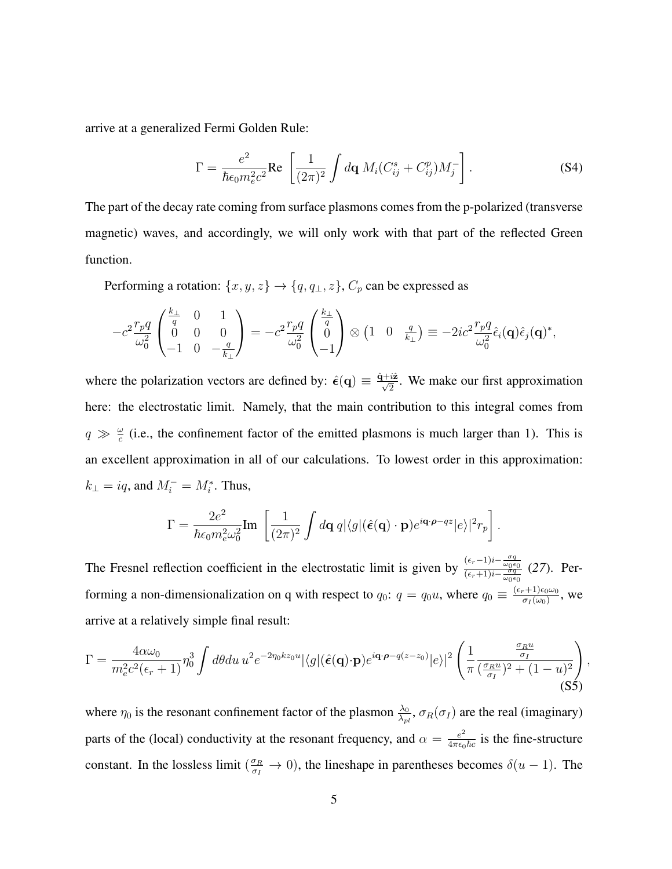arrive at a generalized Fermi Golden Rule:

$$
\Gamma = \frac{e^2}{\hbar \epsilon_0 m_e^2 c^2} \text{Re} \left[ \frac{1}{(2\pi)^2} \int d\mathbf{q} M_i (C_{ij}^s + C_{ij}^p) M_j^- \right]. \tag{S4}
$$

The part of the decay rate coming from surface plasmons comes from the p-polarized (transverse magnetic) waves, and accordingly, we will only work with that part of the reflected Green function.

Performing a rotation:  $\{x, y, z\} \rightarrow \{q, q_{\perp}, z\}$ ,  $C_p$  can be expressed as

$$
-c^2 \frac{r_p q}{\omega_0^2} \begin{pmatrix} \frac{k_\perp}{q} & 0 & 1\\ 0 & 0 & 0\\ -1 & 0 & -\frac{q}{k_\perp} \end{pmatrix} = -c^2 \frac{r_p q}{\omega_0^2} \begin{pmatrix} \frac{k_\perp}{q} \\ 0 \\ -1 \end{pmatrix} \otimes \begin{pmatrix} 1 & 0 & \frac{q}{k_\perp} \end{pmatrix} \equiv -2ic^2 \frac{r_p q}{\omega_0^2} \hat{\epsilon}_i(\mathbf{q}) \hat{\epsilon}_j(\mathbf{q})^*,
$$

where the polarization vectors are defined by:  $\hat{\epsilon}(q) \equiv \frac{\hat{q} + i\hat{z}}{\sqrt{2}}$ . We make our first approximation here: the electrostatic limit. Namely, that the main contribution to this integral comes from  $q \gg \frac{\omega}{c}$  (i.e., the confinement factor of the emitted plasmons is much larger than 1). This is an excellent approximation in all of our calculations. To lowest order in this approximation:  $k_{\perp} = iq$ , and  $M_i^- = M_i^*$ . Thus,

$$
\Gamma = \frac{2e^2}{\hbar \epsilon_0 m_e^2 \omega_0^2} \text{Im} \left[ \frac{1}{(2\pi)^2} \int d\mathbf{q} \, q |\langle g | (\hat{\boldsymbol{\epsilon}}(\mathbf{q}) \cdot \mathbf{p}) e^{i\mathbf{q} \cdot \boldsymbol{\rho} - qz} | e \rangle |^2 r_p \right].
$$

The Fresnel reflection coefficient in the electrostatic limit is given by  $\frac{(\epsilon_r-1)i-\frac{\sigma q}{\omega_0\epsilon_0}}{(\epsilon_r+1)i-\frac{\sigma q}{\omega_0\epsilon_0}}$  (27). Performing a non-dimensionalization on q with respect to  $q_0$ :  $q = q_0u$ , where  $q_0 \equiv \frac{(\epsilon_r + 1)\epsilon_0\omega_0}{\sigma_l(\omega_0)}$  $\frac{\sigma_1+1}{\sigma_1(\omega_0)}$ , we arrive at a relatively simple final result:

$$
\Gamma = \frac{4\alpha\omega_0}{m_e^2 c^2 (\epsilon_r + 1)} \eta_0^3 \int d\theta du \, u^2 e^{-2\eta_0 k z_0 u} |\langle g | (\hat{\epsilon}(\mathbf{q}) \cdot \mathbf{p}) e^{i\mathbf{q} \cdot \boldsymbol{\rho} - q(z - z_0)} | e \rangle|^2 \left( \frac{1}{\pi} \frac{\frac{\sigma_R u}{\sigma_I}}{(\frac{\sigma_R u}{\sigma_I})^2 + (1 - u)^2} \right)
$$
\n(S5)

,

where  $\eta_0$  is the resonant confinement factor of the plasmon  $\frac{\lambda_0}{\lambda_{pl}}$ ,  $\sigma_R(\sigma_I)$  are the real (imaginary) parts of the (local) conductivity at the resonant frequency, and  $\alpha = \frac{e^2}{4\pi\epsilon_0}$  $\frac{e^2}{4\pi\epsilon_0\hbar c}$  is the fine-structure constant. In the lossless limit  $(\frac{\sigma_R}{\sigma_I} \to 0)$ , the lineshape in parentheses becomes  $\delta(u-1)$ . The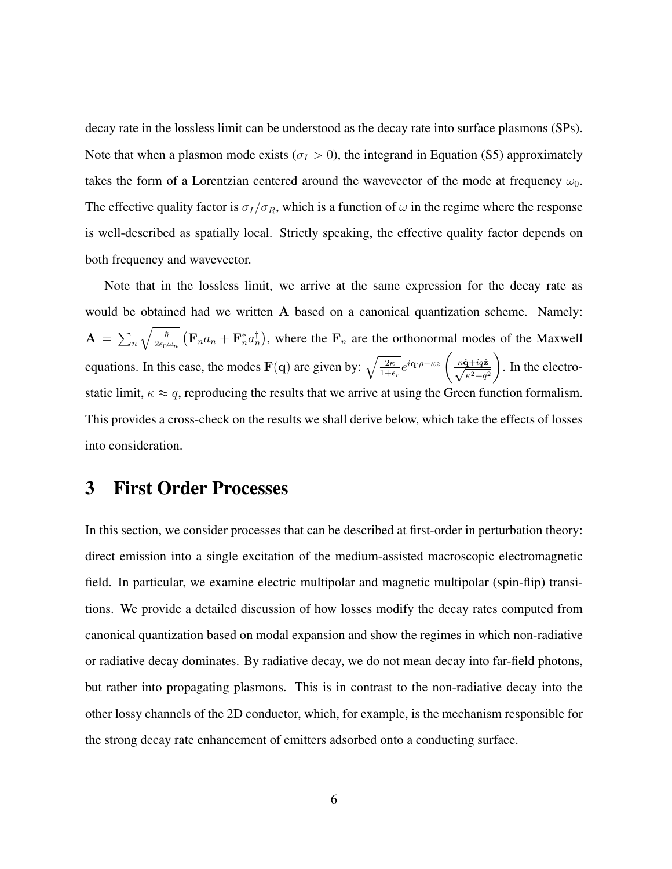decay rate in the lossless limit can be understood as the decay rate into surface plasmons (SPs). Note that when a plasmon mode exists ( $\sigma_I > 0$ ), the integrand in Equation (S5) approximately takes the form of a Lorentzian centered around the wavevector of the mode at frequency  $\omega_0$ . The effective quality factor is  $\sigma_I/\sigma_R$ , which is a function of  $\omega$  in the regime where the response is well-described as spatially local. Strictly speaking, the effective quality factor depends on both frequency and wavevector.

Note that in the lossless limit, we arrive at the same expression for the decay rate as would be obtained had we written A based on a canonical quantization scheme. Namely:  $\mathbf{A}\,=\,\sum_{n}\sqrt{\frac{\hbar}{2\epsilon_{0}a}}$  $\frac{\hbar}{2\epsilon_0\omega_n}$   $\left(\mathbf{F}_n a_n + \mathbf{F}_n^* a_n^{\dagger}\right)$ , where the  $\mathbf{F}_n$  are the orthonormal modes of the Maxwell equations. In this case, the modes  $\mathbf{F}(\mathbf{q})$  are given by:  $\sqrt{\frac{2\kappa}{1+\epsilon_r}}e^{i\mathbf{q}\cdot\boldsymbol{\rho}-\kappa z} \left(\frac{\kappa \hat{\mathbf{q}}+i q \hat{\mathbf{z}}}{\sqrt{\kappa^2+q^2}}\right)$  $\setminus$ . In the electrostatic limit,  $\kappa \approx q$ , reproducing the results that we arrive at using the Green function formalism. This provides a cross-check on the results we shall derive below, which take the effects of losses into consideration.

## 3 First Order Processes

In this section, we consider processes that can be described at first-order in perturbation theory: direct emission into a single excitation of the medium-assisted macroscopic electromagnetic field. In particular, we examine electric multipolar and magnetic multipolar (spin-flip) transitions. We provide a detailed discussion of how losses modify the decay rates computed from canonical quantization based on modal expansion and show the regimes in which non-radiative or radiative decay dominates. By radiative decay, we do not mean decay into far-field photons, but rather into propagating plasmons. This is in contrast to the non-radiative decay into the other lossy channels of the 2D conductor, which, for example, is the mechanism responsible for the strong decay rate enhancement of emitters adsorbed onto a conducting surface.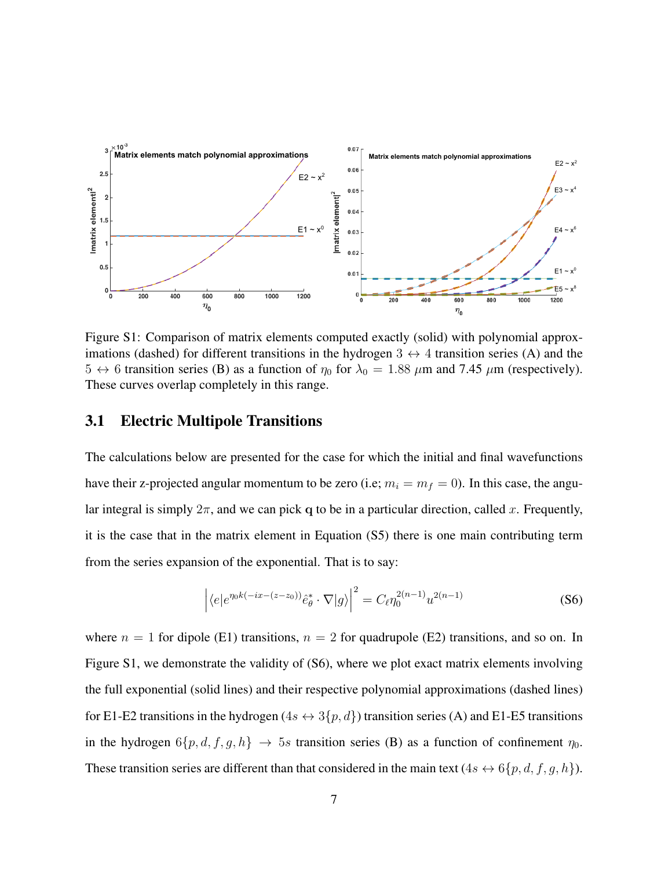

Figure S1: Comparison of matrix elements computed exactly (solid) with polynomial approximations (dashed) for different transitions in the hydrogen  $3 \leftrightarrow 4$  transition series (A) and the  $5 \leftrightarrow 6$  transition series (B) as a function of  $\eta_0$  for  $\lambda_0 = 1.88 \ \mu \text{m}$  and 7.45  $\mu \text{m}$  (respectively). These curves overlap completely in this range.

### 3.1 Electric Multipole Transitions

The calculations below are presented for the case for which the initial and final wavefunctions have their z-projected angular momentum to be zero (i.e;  $m_i = m_f = 0$ ). In this case, the angular integral is simply  $2\pi$ , and we can pick q to be in a particular direction, called x. Frequently, it is the case that in the matrix element in Equation (S5) there is one main contributing term from the series expansion of the exponential. That is to say:

$$
\left| \langle e | e^{\eta_0 k (-ix - (z - z_0))} \hat{e}_\theta^* \cdot \nabla | g \rangle \right|^2 = C_\ell \eta_0^{2(n-1)} u^{2(n-1)}
$$
 (S6)

where  $n = 1$  for dipole (E1) transitions,  $n = 2$  for quadrupole (E2) transitions, and so on. In Figure S1, we demonstrate the validity of (S6), where we plot exact matrix elements involving the full exponential (solid lines) and their respective polynomial approximations (dashed lines) for E1-E2 transitions in the hydrogen ( $4s \leftrightarrow 3\{p, d\}$ ) transition series (A) and E1-E5 transitions in the hydrogen  $6\{p, d, f, g, h\} \rightarrow 5s$  transition series (B) as a function of confinement  $\eta_0$ . These transition series are different than that considered in the main text  $(4s \leftrightarrow 6\{p, d, f, g, h\})$ .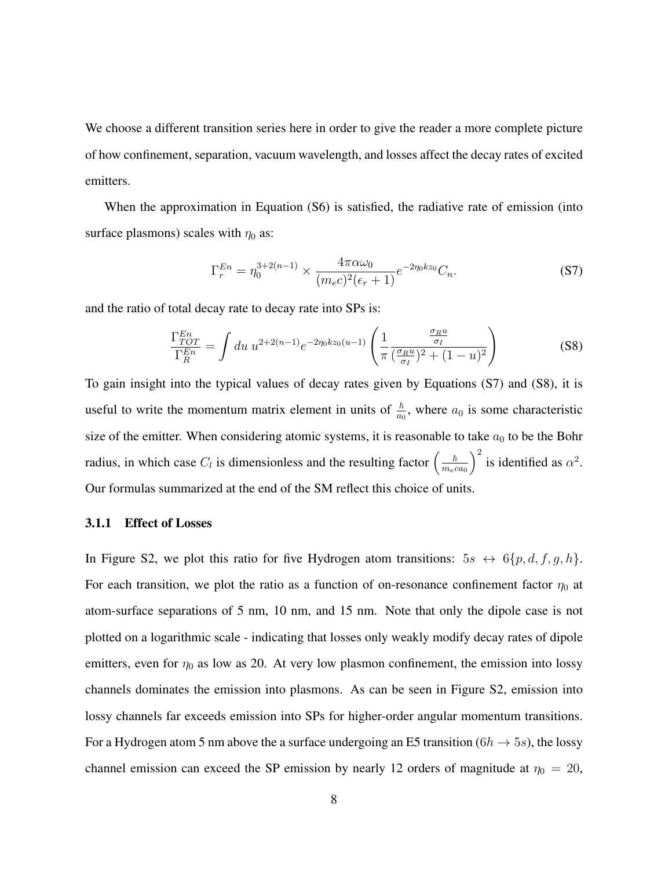We choose a different transition series here in order to give the reader a more complete picture of how confinement, separation, vacuum wavelength, and losses affect the decay rates of excited emitters.

When the approximation in Equation (S6) is satisfied, the radiative rate of emission (into surface plasmons) scales with  $\eta_0$  as:

$$
\Gamma_r^{En} = \eta_0^{3+2(n-1)} \times \frac{4\pi\alpha\omega_0}{(m_e c)^2(\epsilon_r + 1)} e^{-2\eta_0 kz_0} C_n.
$$
 (S7)

and the ratio of total decay rate to decay rate into SPs is:

$$
\frac{\Gamma_{TOT}^{En}}{\Gamma_R^{En}} = \int du \ u^{2+2(n-1)} e^{-2\eta_0 kz_0(u-1)} \left( \frac{1}{\pi} \frac{\frac{\sigma_R u}{\sigma_I}}{(\frac{\sigma_R u}{\sigma_I})^2 + (1-u)^2} \right)
$$
(S8)

To gain insight into the typical values of decay rates given by Equations (S7) and (S8), it is useful to write the momentum matrix element in units of  $\frac{\hbar}{a_0}$ , where  $a_0$  is some characteristic size of the emitter. When considering atomic systems, it is reasonable to take  $a_0$  to be the Bohr radius, in which case  $C_l$  is dimensionless and the resulting factor  $\left(\frac{\hbar}{mc}T\right)$  $m_eca_0$  $\int^2$  is identified as  $\alpha^2$ . Our formulas summarized at the end of the SM reflect this choice of units.

#### 3.1.1 Effect of Losses

In Figure S2, we plot this ratio for five Hydrogen atom transitions:  $5s \leftrightarrow 6\{p, d, f, g, h\}.$ For each transition, we plot the ratio as a function of on-resonance confinement factor  $\eta_0$  at atom-surface separations of 5 nm, 10 nm, and 15 nm. Note that only the dipole case is not plotted on a logarithmic scale - indicating that losses only weakly modify decay rates of dipole emitters, even for  $\eta_0$  as low as 20. At very low plasmon confinement, the emission into lossy channels dominates the emission into plasmons. As can be seen in Figure S2, emission into lossy channels far exceeds emission into SPs for higher-order angular momentum transitions. For a Hydrogen atom 5 nm above the a surface undergoing an E5 transition ( $6h \rightarrow 5s$ ), the lossy channel emission can exceed the SP emission by nearly 12 orders of magnitude at  $\eta_0 = 20$ ,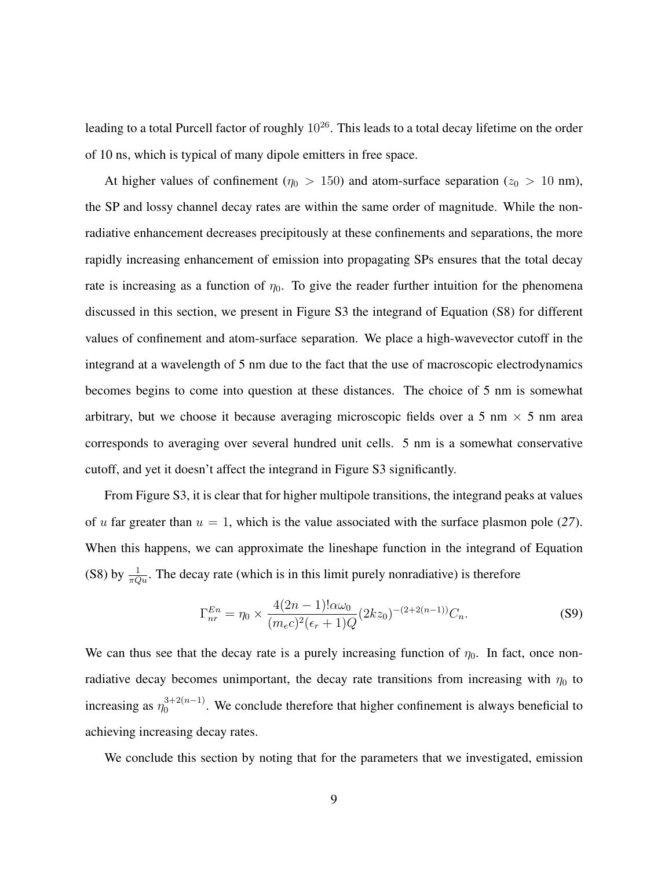leading to a total Purcell factor of roughly  $10^{26}$ . This leads to a total decay lifetime on the order of 10 ns, which is typical of many dipole emitters in free space.

At higher values of confinement ( $\eta_0 > 150$ ) and atom-surface separation ( $z_0 > 10$  nm), the SP and lossy channel decay rates are within the same order of magnitude. While the nonradiative enhancement decreases precipitously at these confinements and separations, the more rapidly increasing enhancement of emission into propagating SPs ensures that the total decay rate is increasing as a function of  $\eta_0$ . To give the reader further intuition for the phenomena discussed in this section, we present in Figure S3 the integrand of Equation (S8) for different values of confinement and atom-surface separation. We place a high-wavevector cutoff in the integrand at a wavelength of 5 nm due to the fact that the use of macroscopic electrodynamics becomes begins to come into question at these distances. The choice of 5 nm is somewhat arbitrary, but we choose it because averaging microscopic fields over a 5 nm  $\times$  5 nm area corresponds to averaging over several hundred unit cells. 5 nm is a somewhat conservative cutoff, and yet it doesn't affect the integrand in Figure S3 significantly.

From Figure S3, it is clear that for higher multipole transitions, the integrand peaks at values of u far greater than  $u = 1$ , which is the value associated with the surface plasmon pole (27). When this happens, we can approximate the lineshape function in the integrand of Equation (S8) by  $\frac{1}{\pi Qu}$ . The decay rate (which is in this limit purely nonradiative) is therefore

$$
\Gamma_{nr}^{En} = \eta_0 \times \frac{4(2n-1)!\alpha\omega_0}{(m_ec)^2(\epsilon_r+1)Q} (2kz_0)^{-(2+2(n-1))}C_n.
$$
 (S9)

We can thus see that the decay rate is a purely increasing function of  $\eta_0$ . In fact, once nonradiative decay becomes unimportant, the decay rate transitions from increasing with  $\eta_0$  to increasing as  $\eta_0^{3+2(n-1)}$  $\frac{0}{0}$ <sup>3+2(n-1)</sup>. We conclude therefore that higher confinement is always beneficial to achieving increasing decay rates.

We conclude this section by noting that for the parameters that we investigated, emission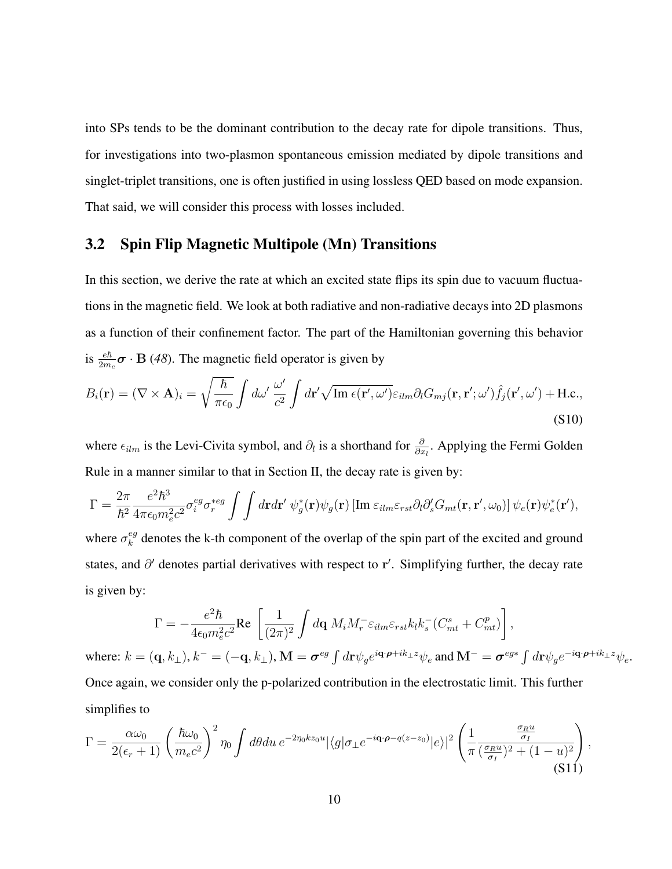into SPs tends to be the dominant contribution to the decay rate for dipole transitions. Thus, for investigations into two-plasmon spontaneous emission mediated by dipole transitions and singlet-triplet transitions, one is often justified in using lossless QED based on mode expansion. That said, we will consider this process with losses included.

## 3.2 Spin Flip Magnetic Multipole (Mn) Transitions

In this section, we derive the rate at which an excited state flips its spin due to vacuum fluctuations in the magnetic field. We look at both radiative and non-radiative decays into 2D plasmons as a function of their confinement factor. The part of the Hamiltonian governing this behavior is  $\frac{e\hbar}{2m_e}\boldsymbol{\sigma} \cdot \mathbf{B}$  (48). The magnetic field operator is given by

$$
B_i(\mathbf{r}) = (\nabla \times \mathbf{A})_i = \sqrt{\frac{\hbar}{\pi \epsilon_0}} \int d\omega' \, \frac{\omega'}{c^2} \int d\mathbf{r}' \sqrt{\mathrm{Im} \,\epsilon(\mathbf{r}', \omega')} \varepsilon_{ilm} \partial_l G_{mj}(\mathbf{r}, \mathbf{r}'; \omega') \hat{f}_j(\mathbf{r}', \omega') + \mathrm{H.c.},\tag{S10}
$$

where  $\epsilon_{ilm}$  is the Levi-Civita symbol, and  $\partial_l$  is a shorthand for  $\frac{\partial}{\partial x_l}$ . Applying the Fermi Golden Rule in a manner similar to that in Section II, the decay rate is given by:

$$
\Gamma = \frac{2\pi}{\hbar^2} \frac{e^2 \hbar^3}{4\pi \epsilon_0 m_e^2 c^2} \sigma_i^{eg} \sigma_r^{*eg} \int \int d\mathbf{r} d\mathbf{r}' \ \psi_g^*(\mathbf{r}) \psi_g(\mathbf{r}) \left[ \text{Im } \varepsilon_{ilm} \varepsilon_{rst} \partial_l \partial_s' G_{mt}(\mathbf{r}, \mathbf{r}', \omega_0) \right] \psi_e(\mathbf{r}) \psi_e^*(\mathbf{r}'),
$$

where  $\sigma_k^{eg}$  $k_k^{eg}$  denotes the k-th component of the overlap of the spin part of the excited and ground states, and  $\partial'$  denotes partial derivatives with respect to r'. Simplifying further, the decay rate is given by:

$$
\Gamma = -\frac{e^2 \hbar}{4\epsilon_0 m_e^2 c^2} \text{Re} \left[ \frac{1}{(2\pi)^2} \int d\mathbf{q} \ M_i M_r^- \varepsilon_{ilm} \varepsilon_{rst} k_l k_s^- (C_{mt}^s + C_{mt}^p) \right],
$$
  
where:  $k = (\mathbf{q}, k_\perp), k^- = (-\mathbf{q}, k_\perp), \mathbf{M} = \boldsymbol{\sigma}^{eg} \int d\mathbf{r} \psi_g e^{i\mathbf{q} \cdot \boldsymbol{\rho} + ik_\perp z} \psi_e$  and  $\mathbf{M}^- = \boldsymbol{\sigma}^{eg*} \int d\mathbf{r} \psi_g e^{-i\mathbf{q} \cdot \boldsymbol{\rho} + ik_\perp z} \psi_e$ .  
Once again, we consider only the p-polarized contribution in the electrostatic limit. This further

simplifies to

$$
\Gamma = \frac{\alpha \omega_0}{2(\epsilon_r + 1)} \left(\frac{\hbar \omega_0}{m_e c^2}\right)^2 \eta_0 \int d\theta du \, e^{-2\eta_0 k z_0 u} |\langle g | \sigma_\perp e^{-i\mathbf{q} \cdot \boldsymbol{\rho} - q(z - z_0)} | e \rangle|^2 \left(\frac{1}{\pi} \frac{\frac{\sigma_R u}{\sigma_I}}{(\frac{\sigma_R u}{\sigma_I})^2 + (1 - u)^2} \right),\tag{S11}
$$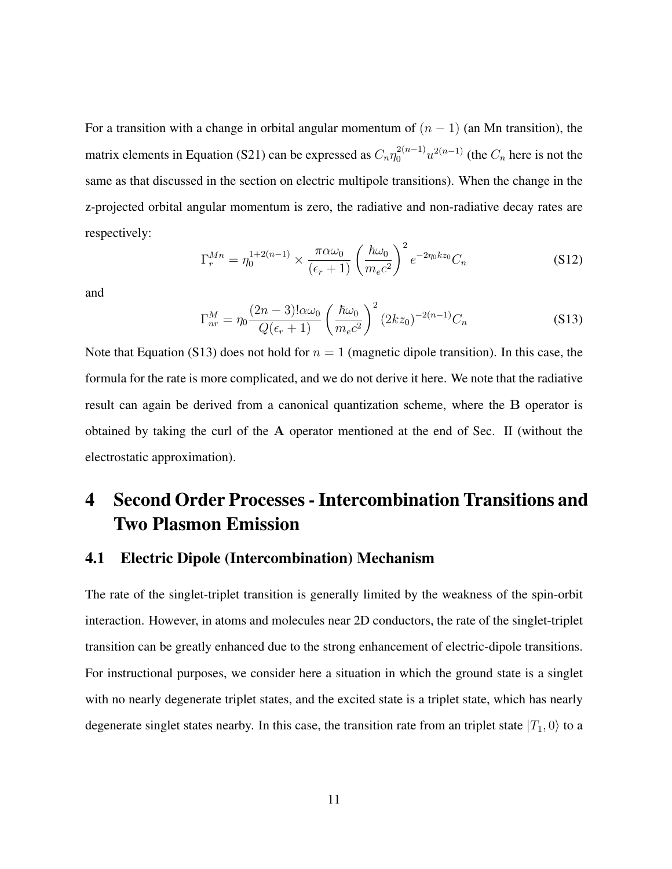For a transition with a change in orbital angular momentum of  $(n - 1)$  (an Mn transition), the matrix elements in Equation (S21) can be expressed as  $C_n \eta_0^{2(n-1)} u^{2(n-1)}$  (the  $C_n$  here is not the same as that discussed in the section on electric multipole transitions). When the change in the z-projected orbital angular momentum is zero, the radiative and non-radiative decay rates are respectively:

$$
\Gamma_r^{Mn} = \eta_0^{1+2(n-1)} \times \frac{\pi \alpha \omega_0}{(\epsilon_r + 1)} \left(\frac{\hbar \omega_0}{m_e c^2}\right)^2 e^{-2\eta_0 k z_0} C_n \tag{S12}
$$

and

$$
\Gamma_{nr}^{M} = \eta_0 \frac{(2n-3)!\alpha\omega_0}{Q(\epsilon_r+1)} \left(\frac{\hbar\omega_0}{m_e c^2}\right)^2 (2kz_0)^{-2(n-1)} C_n
$$
\n(S13)

Note that Equation (S13) does not hold for  $n = 1$  (magnetic dipole transition). In this case, the formula for the rate is more complicated, and we do not derive it here. We note that the radiative result can again be derived from a canonical quantization scheme, where the B operator is obtained by taking the curl of the A operator mentioned at the end of Sec. II (without the electrostatic approximation).

# 4 Second Order Processes - Intercombination Transitions and Two Plasmon Emission

## 4.1 Electric Dipole (Intercombination) Mechanism

The rate of the singlet-triplet transition is generally limited by the weakness of the spin-orbit interaction. However, in atoms and molecules near 2D conductors, the rate of the singlet-triplet transition can be greatly enhanced due to the strong enhancement of electric-dipole transitions. For instructional purposes, we consider here a situation in which the ground state is a singlet with no nearly degenerate triplet states, and the excited state is a triplet state, which has nearly degenerate singlet states nearby. In this case, the transition rate from an triplet state  $|T_1, 0\rangle$  to a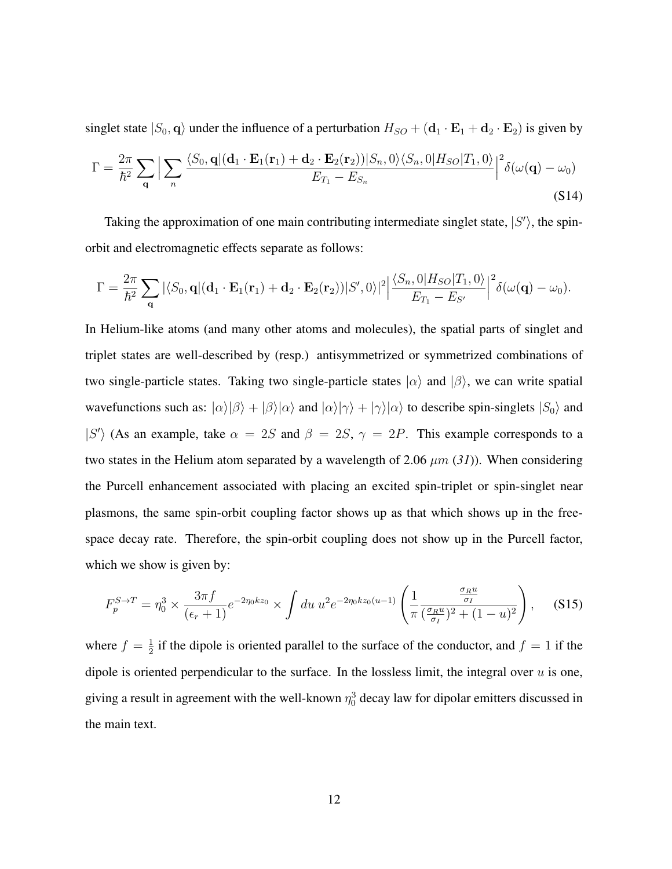singlet state  $|S_0, \mathbf{q}\rangle$  under the influence of a perturbation  $H_{SO} + (\mathbf{d}_1 \cdot \mathbf{E}_1 + \mathbf{d}_2 \cdot \mathbf{E}_2)$  is given by

$$
\Gamma = \frac{2\pi}{\hbar^2} \sum_{\mathbf{q}} \Big| \sum_{n} \frac{\langle S_0, \mathbf{q} | (\mathbf{d}_1 \cdot \mathbf{E}_1(\mathbf{r}_1) + \mathbf{d}_2 \cdot \mathbf{E}_2(\mathbf{r}_2)) | S_n, 0 \rangle \langle S_n, 0 | H_{SO} | T_1, 0 \rangle}{E_{T_1} - E_{S_n}} \Big|^2 \delta(\omega(\mathbf{q}) - \omega_0)
$$
\n(S14)

Taking the approximation of one main contributing intermediate singlet state,  $|S'\rangle$ , the spinorbit and electromagnetic effects separate as follows:

$$
\Gamma = \frac{2\pi}{\hbar^2} \sum_{\mathbf{q}} |\langle S_0, \mathbf{q} | (\mathbf{d}_1 \cdot \mathbf{E}_1(\mathbf{r}_1) + \mathbf{d}_2 \cdot \mathbf{E}_2(\mathbf{r}_2)) |S', 0\rangle|^2 \Big| \frac{\langle S_n, 0 | H_{SO} | T_1, 0 \rangle}{E_{T_1} - E_{S'}} \Big|^2 \delta(\omega(\mathbf{q}) - \omega_0).
$$

In Helium-like atoms (and many other atoms and molecules), the spatial parts of singlet and triplet states are well-described by (resp.) antisymmetrized or symmetrized combinations of two single-particle states. Taking two single-particle states  $|\alpha\rangle$  and  $|\beta\rangle$ , we can write spatial wavefunctions such as:  $|\alpha\rangle|\beta\rangle + |\beta\rangle|\alpha\rangle$  and  $|\alpha\rangle|\gamma\rangle + |\gamma\rangle|\alpha\rangle$  to describe spin-singlets  $|S_0\rangle$  and  $|S'\rangle$  (As an example, take  $\alpha = 2S$  and  $\beta = 2S$ ,  $\gamma = 2P$ . This example corresponds to a two states in the Helium atom separated by a wavelength of 2.06  $\mu$ m (31)). When considering the Purcell enhancement associated with placing an excited spin-triplet or spin-singlet near plasmons, the same spin-orbit coupling factor shows up as that which shows up in the freespace decay rate. Therefore, the spin-orbit coupling does not show up in the Purcell factor, which we show is given by:

$$
F_p^{S \to T} = \eta_0^3 \times \frac{3\pi f}{(\epsilon_r + 1)} e^{-2\eta_0 kz_0} \times \int du \ u^2 e^{-2\eta_0 kz_0(u-1)} \left( \frac{1}{\pi} \frac{\frac{\sigma_R u}{\sigma_I}}{(\frac{\sigma_R u}{\sigma_I})^2 + (1 - u)^2} \right), \quad (S15)
$$

where  $f = \frac{1}{2}$  $\frac{1}{2}$  if the dipole is oriented parallel to the surface of the conductor, and  $f = 1$  if the dipole is oriented perpendicular to the surface. In the lossless limit, the integral over  $u$  is one, giving a result in agreement with the well-known  $\eta_0^3$  decay law for dipolar emitters discussed in the main text.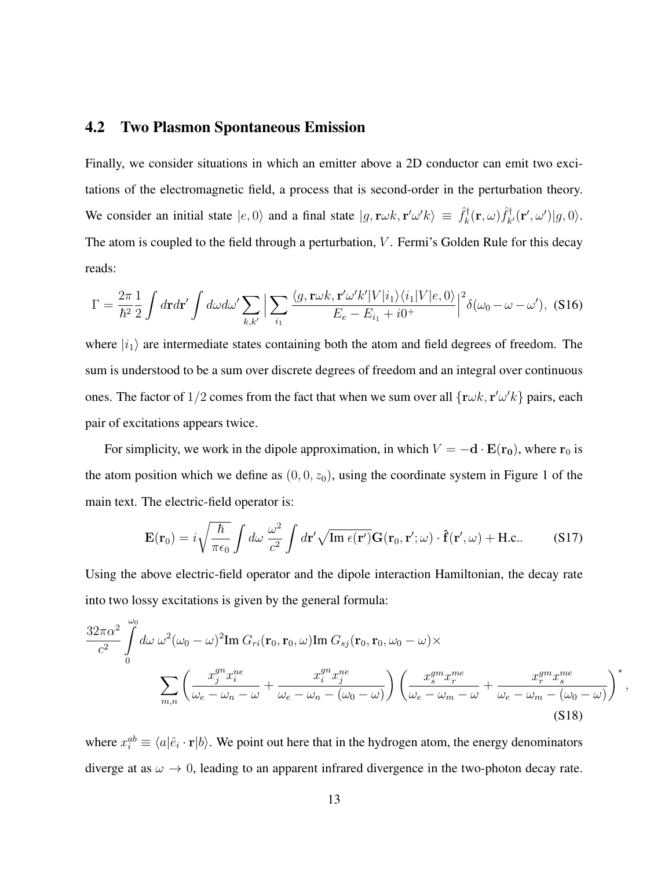## 4.2 Two Plasmon Spontaneous Emission

Finally, we consider situations in which an emitter above a 2D conductor can emit two excitations of the electromagnetic field, a process that is second-order in the perturbation theory. We consider an initial state  $|e, 0\rangle$  and a final state  $|g, \mathbf{r}\omega k, \mathbf{r}'\omega' k\rangle \equiv \hat{f}_k^{\dagger}$  $\hat{f}_k^\dagger(\mathbf{r},\omega) \hat{f}_k^\dagger$  $\hat{d}_{k'}^{\dagger}(\mathbf{r}', \omega') |g, 0\rangle.$ The atom is coupled to the field through a perturbation,  $V$ . Fermi's Golden Rule for this decay reads:

$$
\Gamma = \frac{2\pi}{\hbar^2} \frac{1}{2} \int d\mathbf{r} d\mathbf{r}' \int d\omega d\omega' \sum_{k,k'} \left| \sum_{i_1} \frac{\langle g, \mathbf{r}\omega k, \mathbf{r}'\omega' k'|V|i_1\rangle\langle i_1|V|e, 0\rangle}{E_e - E_{i_1} + i0^+} \right|^2 \delta(\omega_0 - \omega - \omega'), \text{ (S16)}
$$

where  $|i_1\rangle$  are intermediate states containing both the atom and field degrees of freedom. The sum is understood to be a sum over discrete degrees of freedom and an integral over continuous ones. The factor of  $1/2$  comes from the fact that when we sum over all  $\{r\omega k, r'\omega' k\}$  pairs, each pair of excitations appears twice.

For simplicity, we work in the dipole approximation, in which  $V = -d \cdot E(r_0)$ , where  $r_0$  is the atom position which we define as  $(0, 0, z_0)$ , using the coordinate system in Figure 1 of the main text. The electric-field operator is:

$$
\mathbf{E}(\mathbf{r}_0) = i\sqrt{\frac{\hbar}{\pi\epsilon_0}} \int d\omega \; \frac{\omega^2}{c^2} \int d\mathbf{r}' \sqrt{\mathrm{Im} \; \epsilon(\mathbf{r}')} \mathbf{G}(\mathbf{r}_0, \mathbf{r}'; \omega) \cdot \hat{\mathbf{f}}(\mathbf{r}', \omega) + \text{H.c.} \tag{S17}
$$

Using the above electric-field operator and the dipole interaction Hamiltonian, the decay rate into two lossy excitations is given by the general formula:

$$
\frac{32\pi\alpha^2}{c^2} \int_0^{\omega_0} d\omega \,\omega^2(\omega_0 - \omega)^2 \text{Im } G_{ri}(\mathbf{r}_0, \mathbf{r}_0, \omega) \text{Im } G_{sj}(\mathbf{r}_0, \mathbf{r}_0, \omega_0 - \omega) \times
$$
\n
$$
\sum_{m,n} \left( \frac{x_j^{gn} x_i^{ne}}{\omega_e - \omega_n - \omega} + \frac{x_i^{gn} x_j^{ne}}{\omega_e - \omega_n - (\omega_0 - \omega)} \right) \left( \frac{x_j^{gm} x_i^{me}}{\omega_e - \omega_m - \omega} + \frac{x_j^{gm} x_j^{me}}{\omega_e - \omega_m - (\omega_0 - \omega)} \right)^* \tag{S18}
$$

,

where  $x_i^{ab} \equiv \langle a|\hat{e}_i \cdot \mathbf{r}|b\rangle$ . We point out here that in the hydrogen atom, the energy denominators diverge at as  $\omega \rightarrow 0$ , leading to an apparent infrared divergence in the two-photon decay rate.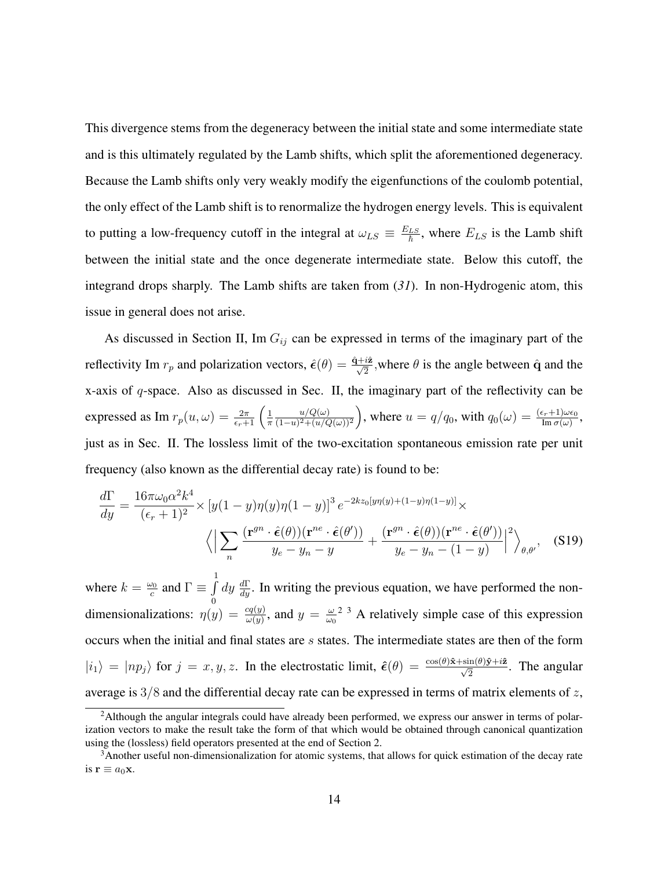This divergence stems from the degeneracy between the initial state and some intermediate state and is this ultimately regulated by the Lamb shifts, which split the aforementioned degeneracy. Because the Lamb shifts only very weakly modify the eigenfunctions of the coulomb potential, the only effect of the Lamb shift is to renormalize the hydrogen energy levels. This is equivalent to putting a low-frequency cutoff in the integral at  $\omega_{LS} \equiv \frac{E_{LS}}{\hbar}$ , where  $E_{LS}$  is the Lamb shift between the initial state and the once degenerate intermediate state. Below this cutoff, the integrand drops sharply. The Lamb shifts are taken from (*31*). In non-Hydrogenic atom, this issue in general does not arise.

As discussed in Section II, Im  $G_{ij}$  can be expressed in terms of the imaginary part of the reflectivity Im  $r_p$  and polarization vectors,  $\hat{\epsilon}(\theta) = \frac{\hat{q} + i\hat{z}}{\sqrt{2}}$ , where  $\theta$  is the angle between  $\hat{q}$  and the x-axis of  $q$ -space. Also as discussed in Sec. II, the imaginary part of the reflectivity can be expressed as Im  $r_p(u,\omega) = \frac{2\pi}{\epsilon_r+1} \left( \frac{1}{\pi} \right)$ π  $u/Q(\omega)$  $\frac{u/Q(\omega)}{(1-u)^2+(u/Q(\omega))^2}$ , where  $u=q/q_0$ , with  $q_0(\omega)=\frac{(\epsilon_r+1)\omega\epsilon_0}{\text{Im }\sigma(\omega)}$ , just as in Sec. II. The lossless limit of the two-excitation spontaneous emission rate per unit frequency (also known as the differential decay rate) is found to be:

$$
\frac{d\Gamma}{dy} = \frac{16\pi\omega_0\alpha^2 k^4}{(\epsilon_r + 1)^2} \times \left[ y(1 - y)\eta(y)\eta(1 - y) \right]^3 e^{-2kz_0[y\eta(y) + (1 - y)\eta(1 - y)]} \times \left\langle \left| \sum_n \frac{(\mathbf{r}^{gn} \cdot \hat{\epsilon}(\theta))(\mathbf{r}^{ne} \cdot \hat{\epsilon}(\theta'))}{y_e - y_n - y} + \frac{(\mathbf{r}^{gn} \cdot \hat{\epsilon}(\theta))(\mathbf{r}^{ne} \cdot \hat{\epsilon}(\theta'))}{y_e - y_n - (1 - y)} \right|^2 \right\rangle_{\theta, \theta'}, \quad (S19)
$$

where  $k = \frac{\omega_0}{c}$  $\frac{\omega_0}{c}$  and  $\Gamma \equiv \int$  $\boldsymbol{0}$  $dy \frac{d\Gamma}{dy}$ . In writing the previous equation, we have performed the nondimensionalizations:  $\eta(y) = \frac{cq(y)}{\omega(y)}$ , and  $y = \frac{\omega}{\omega(x)}$  $\frac{\omega}{\omega_0}$ <sup>2</sup> <sup>3</sup> A relatively simple case of this expression occurs when the initial and final states are s states. The intermediate states are then of the form  $|i_1\rangle = |np_j\rangle$  for  $j = x, y, z$ . In the electrostatic limit,  $\hat{\epsilon}(\theta) = \frac{\cos(\theta)\hat{x} + \sin(\theta)\hat{y} + i\hat{z}}{\sqrt{2}}$ . The angular average is  $3/8$  and the differential decay rate can be expressed in terms of matrix elements of z,

<sup>&</sup>lt;sup>2</sup>Although the angular integrals could have already been performed, we express our answer in terms of polarization vectors to make the result take the form of that which would be obtained through canonical quantization using the (lossless) field operators presented at the end of Section 2.

<sup>&</sup>lt;sup>3</sup>Another useful non-dimensionalization for atomic systems, that allows for quick estimation of the decay rate is  $\mathbf{r} \equiv a_0 \mathbf{x}$ .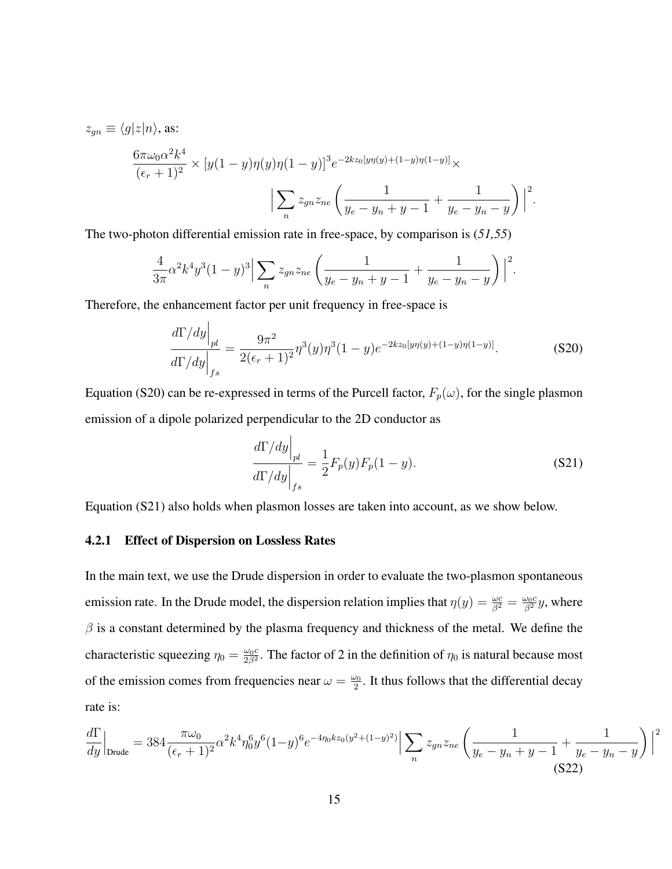$z_{qn} \equiv \langle g|z|n \rangle$ , as:

$$
\frac{6\pi\omega_0\alpha^2 k^4}{(\epsilon_r+1)^2} \times \left[y(1-y)\eta(y)\eta(1-y)\right]^3 e^{-2kz_0[y\eta(y)+(1-y)\eta(1-y)]} \times \left|\sum_n z_{gn} z_{ne} \left(\frac{1}{y_e - y_n + y - 1} + \frac{1}{y_e - y_n - y}\right)\right|^2.
$$

The two-photon differential emission rate in free-space, by comparison is (*51,55*)

$$
\frac{4}{3\pi}\alpha^2 k^4 y^3 (1-y)^3 \Big| \sum_n z_{gn} z_{ne} \left( \frac{1}{y_e - y_n + y - 1} + \frac{1}{y_e - y_n - y} \right) \Big|^2.
$$

Therefore, the enhancement factor per unit frequency in free-space is

$$
\left. \frac{d\Gamma/dy}{d\Gamma/dy} \right|_{fs} = \frac{9\pi^2}{2(\epsilon_r + 1)^2} \eta^3(y)\eta^3(1-y)e^{-2kz_0[y\eta(y)+(1-y)\eta(1-y)]}.\tag{S20}
$$

Equation (S20) can be re-expressed in terms of the Purcell factor,  $F_p(\omega)$ , for the single plasmon emission of a dipole polarized perpendicular to the 2D conductor as

$$
\left. \frac{d\Gamma/dy}{d\Gamma/dy} \right|_{fs} = \frac{1}{2} F_p(y) F_p(1-y). \tag{S21}
$$

Equation (S21) also holds when plasmon losses are taken into account, as we show below.

#### 4.2.1 Effect of Dispersion on Lossless Rates

In the main text, we use the Drude dispersion in order to evaluate the two-plasmon spontaneous emission rate. In the Drude model, the dispersion relation implies that  $\eta(y) = \frac{\omega c}{\beta^2} = \frac{\omega_0 c}{\beta^2}y$ , where  $\beta$  is a constant determined by the plasma frequency and thickness of the metal. We define the characteristic squeezing  $\eta_0 = \frac{\omega_0 c}{2 \beta^2}$  $\frac{\omega_0 c}{2\beta^2}$ . The factor of 2 in the definition of  $\eta_0$  is natural because most of the emission comes from frequencies near  $\omega = \frac{\omega_0}{2}$  $\frac{\omega_0}{2}$ . It thus follows that the differential decay rate is:

$$
\frac{d\Gamma}{dy}\Big|_{\text{Drude}} = 384 \frac{\pi \omega_0}{(\epsilon_r + 1)^2} \alpha^2 k^4 \eta_0^6 y^6 (1 - y)^6 e^{-4\eta_0 k z_0 (y^2 + (1 - y)^2)} \Big| \sum_n z_{gn} z_{ne} \left( \frac{1}{y_e - y_n + y - 1} + \frac{1}{y_e - y_n - y} \right) \Big|^2
$$
\n(S22)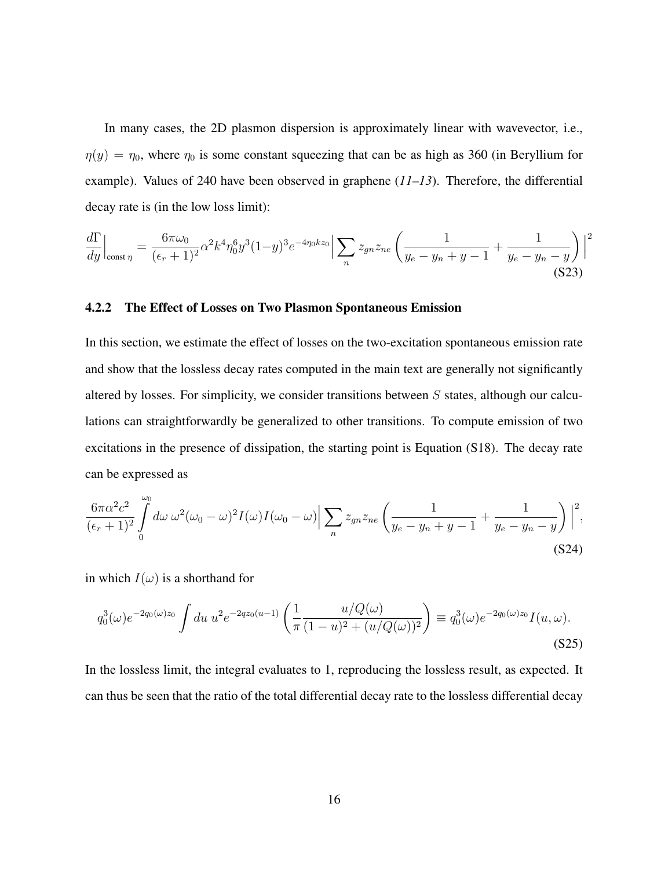In many cases, the 2D plasmon dispersion is approximately linear with wavevector, i.e.,  $\eta(y) = \eta_0$ , where  $\eta_0$  is some constant squeezing that can be as high as 360 (in Beryllium for example). Values of 240 have been observed in graphene (*11–13*). Therefore, the differential decay rate is (in the low loss limit):

$$
\frac{d\Gamma}{dy}\Big|_{\text{const }\eta} = \frac{6\pi\omega_0}{(\epsilon_r + 1)^2} \alpha^2 k^4 \eta_0^6 y^3 (1 - y)^3 e^{-4\eta_0 k z_0} \Big| \sum_n z_{gn} z_{ne} \left( \frac{1}{y_e - y_n + y - 1} + \frac{1}{y_e - y_n - y} \right) \Big|^2
$$
\n(S23)

#### 4.2.2 The Effect of Losses on Two Plasmon Spontaneous Emission

In this section, we estimate the effect of losses on the two-excitation spontaneous emission rate and show that the lossless decay rates computed in the main text are generally not significantly altered by losses. For simplicity, we consider transitions between  $S$  states, although our calculations can straightforwardly be generalized to other transitions. To compute emission of two excitations in the presence of dissipation, the starting point is Equation (S18). The decay rate can be expressed as

$$
\frac{6\pi\alpha^2c^2}{(\epsilon_r+1)^2}\int\limits_{0}^{\omega_0}d\omega\,\omega^2(\omega_0-\omega)^2I(\omega)I(\omega_0-\omega)\Big|\sum_{n}z_{gn}z_{ne}\left(\frac{1}{y_e-y_n+y-1}+\frac{1}{y_e-y_n-y}\right)\Big|^2,
$$
\n(S24)

in which  $I(\omega)$  is a shorthand for

$$
q_0^3(\omega)e^{-2q_0(\omega)z_0} \int du \, u^2 e^{-2qz_0(u-1)} \left( \frac{1}{\pi} \frac{u/Q(\omega)}{(1-u)^2 + (u/Q(\omega))^2} \right) \equiv q_0^3(\omega)e^{-2q_0(\omega)z_0} I(u, \omega).
$$
\n(S25)

In the lossless limit, the integral evaluates to 1, reproducing the lossless result, as expected. It can thus be seen that the ratio of the total differential decay rate to the lossless differential decay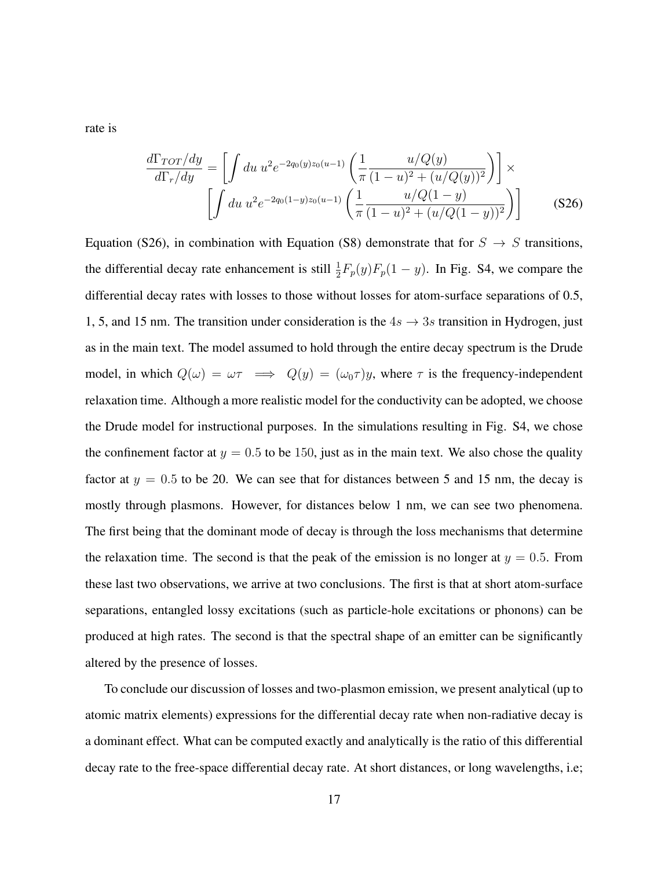rate is

$$
\frac{d\Gamma_{TOT}/dy}{d\Gamma_r/dy} = \left[ \int du \ u^2 e^{-2q_0(y)z_0(u-1)} \left( \frac{1}{\pi} \frac{u/Q(y)}{(1-u)^2 + (u/Q(y))^2} \right) \right] \times \left[ \int du \ u^2 e^{-2q_0(1-y)z_0(u-1)} \left( \frac{1}{\pi} \frac{u/Q(1-y)}{(1-u)^2 + (u/Q(1-y))^2} \right) \right]
$$
(S26)

Equation (S26), in combination with Equation (S8) demonstrate that for  $S \rightarrow S$  transitions, the differential decay rate enhancement is still  $\frac{1}{2}F_p(y)F_p(1-y)$ . In Fig. S4, we compare the differential decay rates with losses to those without losses for atom-surface separations of 0.5, 1, 5, and 15 nm. The transition under consideration is the  $4s \rightarrow 3s$  transition in Hydrogen, just as in the main text. The model assumed to hold through the entire decay spectrum is the Drude model, in which  $Q(\omega) = \omega \tau \implies Q(y) = (\omega_0 \tau)y$ , where  $\tau$  is the frequency-independent relaxation time. Although a more realistic model for the conductivity can be adopted, we choose the Drude model for instructional purposes. In the simulations resulting in Fig. S4, we chose the confinement factor at  $y = 0.5$  to be 150, just as in the main text. We also chose the quality factor at  $y = 0.5$  to be 20. We can see that for distances between 5 and 15 nm, the decay is mostly through plasmons. However, for distances below 1 nm, we can see two phenomena. The first being that the dominant mode of decay is through the loss mechanisms that determine the relaxation time. The second is that the peak of the emission is no longer at  $y = 0.5$ . From these last two observations, we arrive at two conclusions. The first is that at short atom-surface separations, entangled lossy excitations (such as particle-hole excitations or phonons) can be produced at high rates. The second is that the spectral shape of an emitter can be significantly altered by the presence of losses.

To conclude our discussion of losses and two-plasmon emission, we present analytical (up to atomic matrix elements) expressions for the differential decay rate when non-radiative decay is a dominant effect. What can be computed exactly and analytically is the ratio of this differential decay rate to the free-space differential decay rate. At short distances, or long wavelengths, i.e;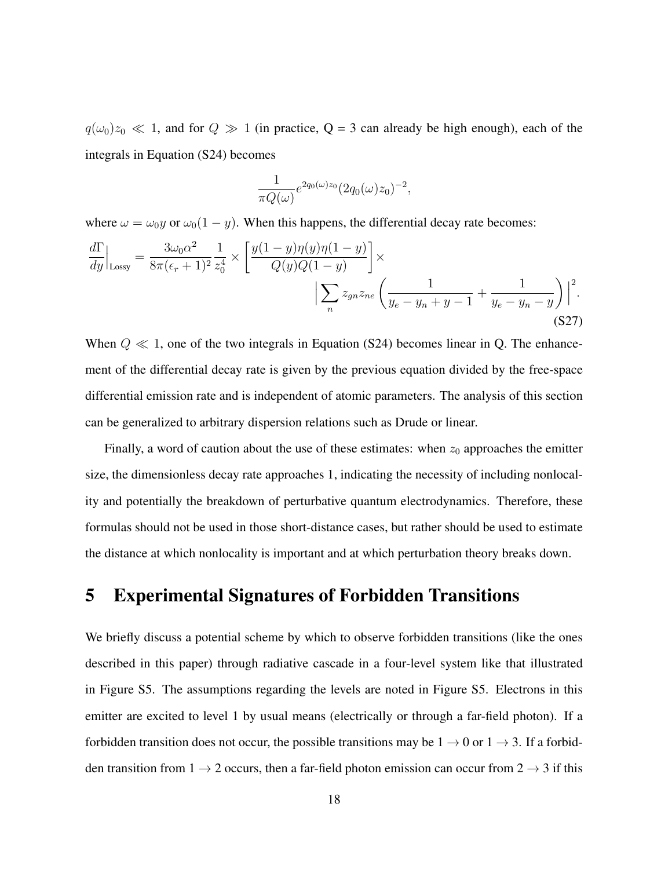$q(\omega_0)z_0 \ll 1$ , and for  $Q \gg 1$  (in practice,  $Q = 3$  can already be high enough), each of the integrals in Equation (S24) becomes

$$
\frac{1}{\pi Q(\omega)} e^{2q_0(\omega)z_0} (2q_0(\omega)z_0)^{-2},
$$

where  $\omega = \omega_0 y$  or  $\omega_0(1 - y)$ . When this happens, the differential decay rate becomes:

$$
\frac{d\Gamma}{dy}\Big|_{\text{Lossy}} = \frac{3\omega_0 \alpha^2}{8\pi(\epsilon_r + 1)^2} \frac{1}{z_0^4} \times \left[ \frac{y(1 - y)\eta(y)\eta(1 - y)}{Q(y)Q(1 - y)} \right] \times \Big| \sum_{n} z_{gn} z_{ne} \left( \frac{1}{y_e - y_n + y - 1} + \frac{1}{y_e - y_n - y} \right) \Big|^2. \tag{S27}
$$

When  $Q \ll 1$ , one of the two integrals in Equation (S24) becomes linear in Q. The enhancement of the differential decay rate is given by the previous equation divided by the free-space differential emission rate and is independent of atomic parameters. The analysis of this section can be generalized to arbitrary dispersion relations such as Drude or linear.

Finally, a word of caution about the use of these estimates: when  $z_0$  approaches the emitter size, the dimensionless decay rate approaches 1, indicating the necessity of including nonlocality and potentially the breakdown of perturbative quantum electrodynamics. Therefore, these formulas should not be used in those short-distance cases, but rather should be used to estimate the distance at which nonlocality is important and at which perturbation theory breaks down.

# 5 Experimental Signatures of Forbidden Transitions

We briefly discuss a potential scheme by which to observe forbidden transitions (like the ones described in this paper) through radiative cascade in a four-level system like that illustrated in Figure S5. The assumptions regarding the levels are noted in Figure S5. Electrons in this emitter are excited to level 1 by usual means (electrically or through a far-field photon). If a forbidden transition does not occur, the possible transitions may be  $1 \rightarrow 0$  or  $1 \rightarrow 3$ . If a forbidden transition from  $1 \rightarrow 2$  occurs, then a far-field photon emission can occur from  $2 \rightarrow 3$  if this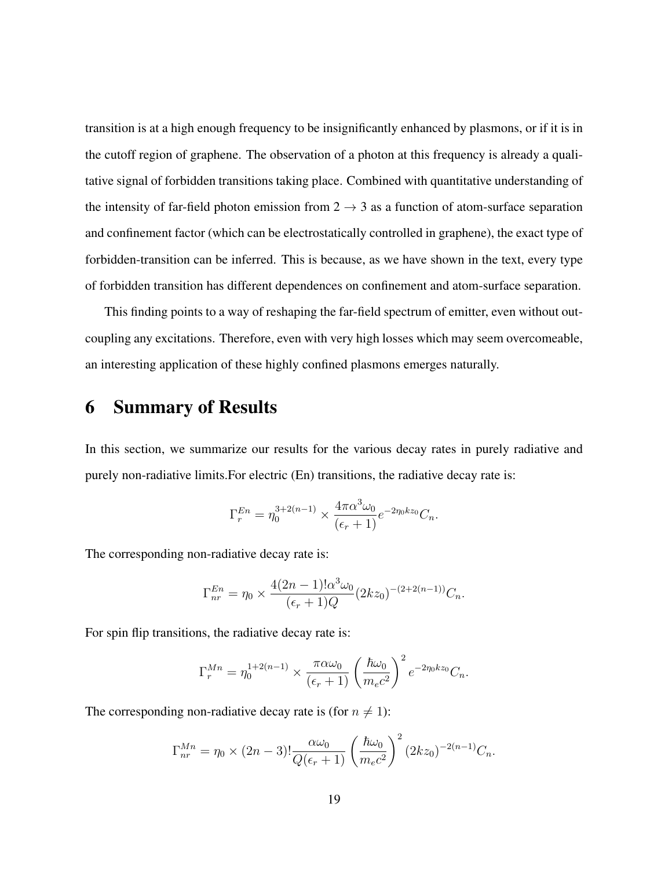transition is at a high enough frequency to be insignificantly enhanced by plasmons, or if it is in the cutoff region of graphene. The observation of a photon at this frequency is already a qualitative signal of forbidden transitions taking place. Combined with quantitative understanding of the intensity of far-field photon emission from  $2 \rightarrow 3$  as a function of atom-surface separation and confinement factor (which can be electrostatically controlled in graphene), the exact type of forbidden-transition can be inferred. This is because, as we have shown in the text, every type of forbidden transition has different dependences on confinement and atom-surface separation.

This finding points to a way of reshaping the far-field spectrum of emitter, even without outcoupling any excitations. Therefore, even with very high losses which may seem overcomeable, an interesting application of these highly confined plasmons emerges naturally.

# 6 Summary of Results

In this section, we summarize our results for the various decay rates in purely radiative and purely non-radiative limits.For electric (En) transitions, the radiative decay rate is:

$$
\Gamma_r^{En} = \eta_0^{3+2(n-1)} \times \frac{4\pi \alpha^3 \omega_0}{(\epsilon_r + 1)} e^{-2\eta_0 kz_0} C_n.
$$

The corresponding non-radiative decay rate is:

$$
\Gamma_{nr}^{En} = \eta_0 \times \frac{4(2n-1)!\alpha^3 \omega_0}{(\epsilon_r + 1)Q} (2kz_0)^{-(2+2(n-1))} C_n.
$$

For spin flip transitions, the radiative decay rate is:

$$
\Gamma_r^{Mn} = \eta_0^{1+2(n-1)} \times \frac{\pi \alpha \omega_0}{(\epsilon_r + 1)} \left(\frac{\hbar \omega_0}{m_e c^2}\right)^2 e^{-2\eta_0 k z_0} C_n.
$$

The corresponding non-radiative decay rate is (for  $n \neq 1$ ):

$$
\Gamma_{nr}^{Mn} = \eta_0 \times (2n-3)! \frac{\alpha \omega_0}{Q(\epsilon_r + 1)} \left(\frac{\hbar \omega_0}{m_e c^2}\right)^2 (2kz_0)^{-2(n-1)} C_n.
$$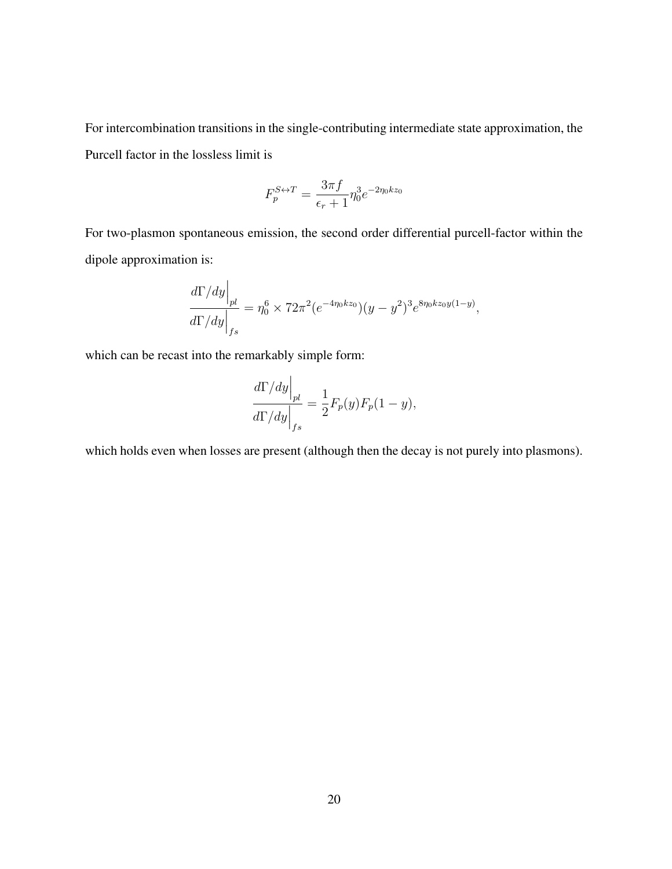For intercombination transitions in the single-contributing intermediate state approximation, the Purcell factor in the lossless limit is

$$
F_p^{S \leftrightarrow T} = \frac{3\pi f}{\epsilon_r + 1} \eta_0^3 e^{-2\eta_0 k z_0}
$$

For two-plasmon spontaneous emission, the second order differential purcell-factor within the dipole approximation is:

$$
\left. \frac{d\Gamma/dy}{d\Gamma/dy} \right|_{fs} = \eta_0^6 \times 72\pi^2 (e^{-4\eta_0 k z_0}) (y - y^2)^3 e^{8\eta_0 k z_0 y (1 - y)},
$$

which can be recast into the remarkably simple form:

$$
\left. \frac{d\Gamma/dy}{d\Gamma/dy} \right|_{fs} = \frac{1}{2} F_p(y) F_p(1-y),
$$

which holds even when losses are present (although then the decay is not purely into plasmons).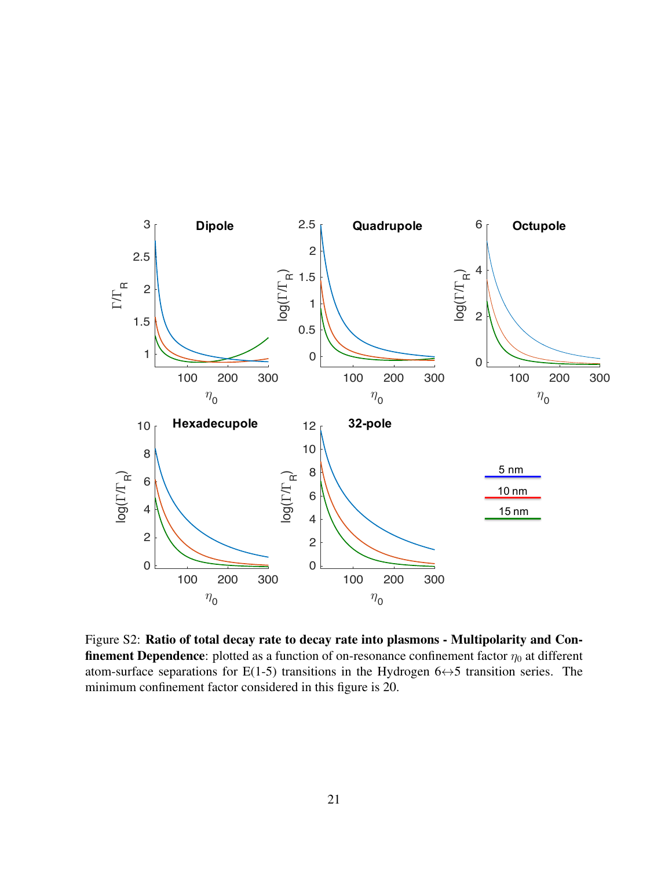

Figure S2: Ratio of total decay rate to decay rate into plasmons - Multipolarity and Con**finement Dependence**: plotted as a function of on-resonance confinement factor  $\eta_0$  at different atom-surface separations for E(1-5) transitions in the Hydrogen  $6 \leftrightarrow 5$  transition series. The minimum confinement factor considered in this figure is 20.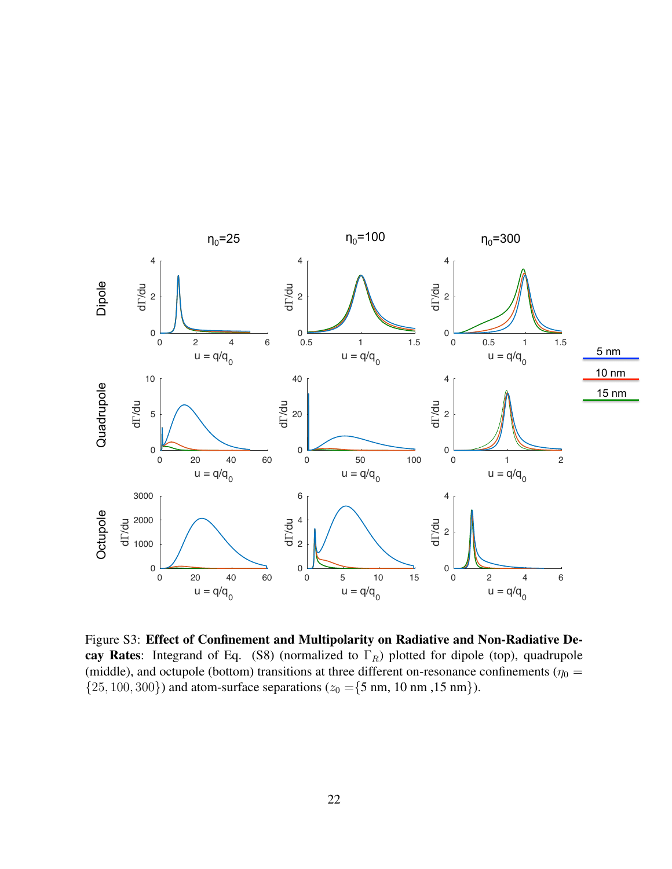

Figure S3: Effect of Confinement and Multipolarity on Radiative and Non-Radiative Decay Rates: Integrand of Eq. (S8) (normalized to  $\Gamma_R$ ) plotted for dipole (top), quadrupole (middle), and octupole (bottom) transitions at three different on-resonance confinements ( $\eta_0 =$  $\{25, 100, 300\}$  and atom-surface separations ( $z_0 = \{5 \text{ nm}, 10 \text{ nm}, 15 \text{ nm}\}$ ).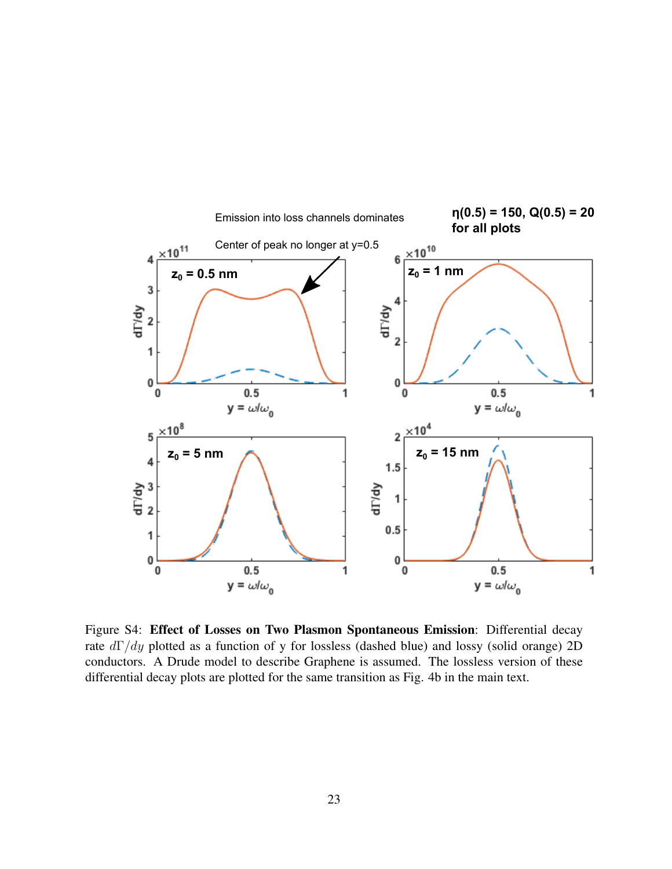

Figure S4: Effect of Losses on Two Plasmon Spontaneous Emission: Differential decay rate  $d\Gamma/dy$  plotted as a function of y for lossless (dashed blue) and lossy (solid orange) 2D conductors. A Drude model to describe Graphene is assumed. The lossless version of these differential decay plots are plotted for the same transition as Fig. 4b in the main text.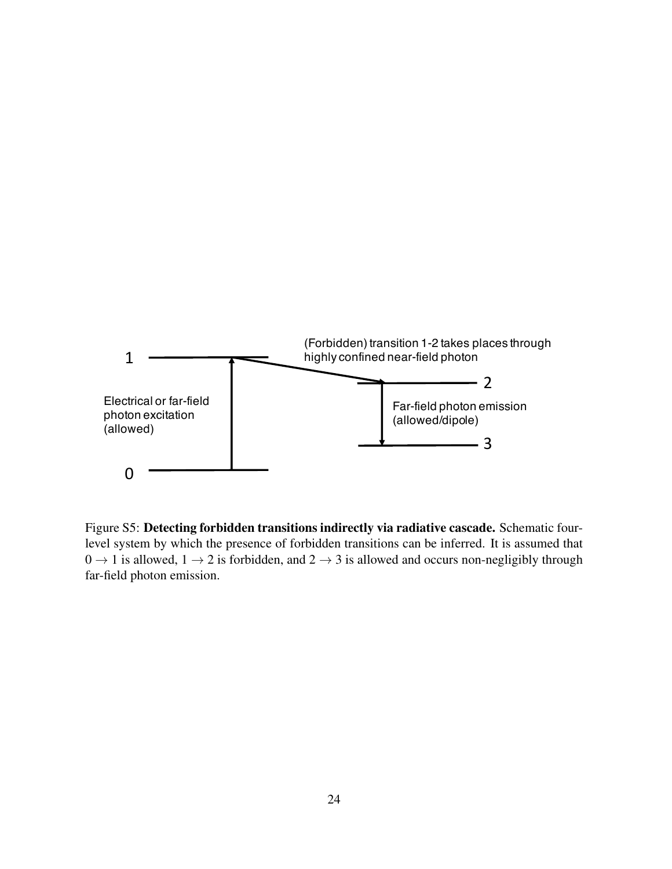

Figure S5: Detecting forbidden transitions indirectly via radiative cascade. Schematic fourlevel system by which the presence of forbidden transitions can be inferred. It is assumed that  $0 \rightarrow 1$  is allowed,  $1 \rightarrow 2$  is forbidden, and  $2 \rightarrow 3$  is allowed and occurs non-negligibly through far-field photon emission.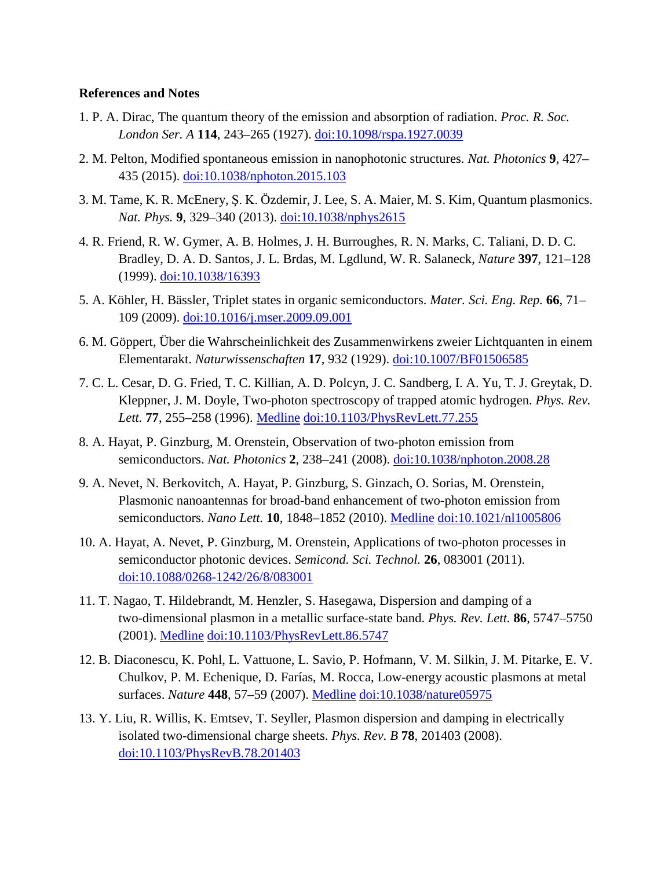### **References and Notes**

- 1. P. A. Dirac, The quantum theory of the emission and absorption of radiation. *Proc. R. Soc. London Ser. A* **114**, 243–265 (1927). [doi:10.1098/rspa.1927.0039](http://dx.doi.org/10.1098/rspa.1927.0039)
- 2. M. Pelton, Modified spontaneous emission in nanophotonic structures. *Nat. Photonics* **9**, 427– 435 (2015). [doi:10.1038/nphoton.2015.103](http://dx.doi.org/10.1038/nphoton.2015.103)
- 3. M. Tame, K. R. McEnery, Ş. K. Özdemir, J. Lee, S. A. Maier, M. S. Kim, Quantum plasmonics. *Nat. Phys.* **9**, 329–340 (2013). [doi:10.1038/nphys2615](http://dx.doi.org/10.1038/nphys2615)
- 4. R. Friend, R. W. Gymer, A. B. Holmes, J. H. Burroughes, R. N. Marks, C. Taliani, D. D. C. Bradley, D. A. D. Santos, J. L. Brdas, M. Lgdlund, W. R. Salaneck, *Nature* **397**, 121–128 (1999). [doi:10.1038/16393](http://dx.doi.org/10.1038/16393)
- 5. A. Köhler, H. Bässler, Triplet states in organic semiconductors. *Mater. Sci. Eng. Rep.* **66**, 71– 109 (2009). [doi:10.1016/j.mser.2009.09.001](http://dx.doi.org/10.1016/j.mser.2009.09.001)
- 6. M. Göppert, Über die Wahrscheinlichkeit des Zusammenwirkens zweier Lichtquanten in einem Elementarakt. *Naturwissenschaften* **17**, 932 (1929). [doi:10.1007/BF01506585](http://dx.doi.org/10.1007/BF01506585)
- 7. C. L. Cesar, D. G. Fried, T. C. Killian, A. D. Polcyn, J. C. Sandberg, I. A. Yu, T. J. Greytak, D. Kleppner, J. M. Doyle, Two-photon spectroscopy of trapped atomic hydrogen. *Phys. Rev. Lett.* **77**, 255–258 (1996). [Medline](http://www.ncbi.nlm.nih.gov/entrez/query.fcgi?cmd=Retrieve&db=PubMed&list_uids=10062405&dopt=Abstract) [doi:10.1103/PhysRevLett.77.255](http://dx.doi.org/10.1103/PhysRevLett.77.255)
- 8. A. Hayat, P. Ginzburg, M. Orenstein, Observation of two-photon emission from semiconductors. *Nat. Photonics* **2**, 238–241 (2008). [doi:10.1038/nphoton.2008.28](http://dx.doi.org/10.1038/nphoton.2008.28)
- 9. A. Nevet, N. Berkovitch, A. Hayat, P. Ginzburg, S. Ginzach, O. Sorias, M. Orenstein, Plasmonic nanoantennas for broad-band enhancement of two-photon emission from semiconductors. *Nano Lett.* **10**, 1848–1852 (2010). [Medline](http://www.ncbi.nlm.nih.gov/entrez/query.fcgi?cmd=Retrieve&db=PubMed&list_uids=20397660&dopt=Abstract) [doi:10.1021/nl1005806](http://dx.doi.org/10.1021/nl1005806)
- 10. A. Hayat, A. Nevet, P. Ginzburg, M. Orenstein, Applications of two-photon processes in semiconductor photonic devices. *Semicond. Sci. Technol.* **26**, 083001 (2011). [doi:10.1088/0268-1242/26/8/083001](http://dx.doi.org/10.1088/0268-1242/26/8/083001)
- 11. T. Nagao, T. Hildebrandt, M. Henzler, S. Hasegawa, Dispersion and damping of a two-dimensional plasmon in a metallic surface-state band. *Phys. Rev. Lett.* **86**, 5747–5750 (2001). [Medline](http://www.ncbi.nlm.nih.gov/entrez/query.fcgi?cmd=Retrieve&db=PubMed&list_uids=11415348&dopt=Abstract) [doi:10.1103/PhysRevLett.86.5747](http://dx.doi.org/10.1103/PhysRevLett.86.5747)
- 12. B. Diaconescu, K. Pohl, L. Vattuone, L. Savio, P. Hofmann, V. M. Silkin, J. M. Pitarke, E. V. Chulkov, P. M. Echenique, D. Farías, M. Rocca, Low-energy acoustic plasmons at metal surfaces. *Nature* **448**, 57–59 (2007). [Medline](http://www.ncbi.nlm.nih.gov/entrez/query.fcgi?cmd=Retrieve&db=PubMed&list_uids=17611537&dopt=Abstract) [doi:10.1038/nature05975](http://dx.doi.org/10.1038/nature05975)
- 13. Y. Liu, R. Willis, K. Emtsev, T. Seyller, Plasmon dispersion and damping in electrically isolated two-dimensional charge sheets. *Phys. Rev. B* **78**, 201403 (2008). [doi:10.1103/PhysRevB.78.201403](http://dx.doi.org/10.1103/PhysRevB.78.201403)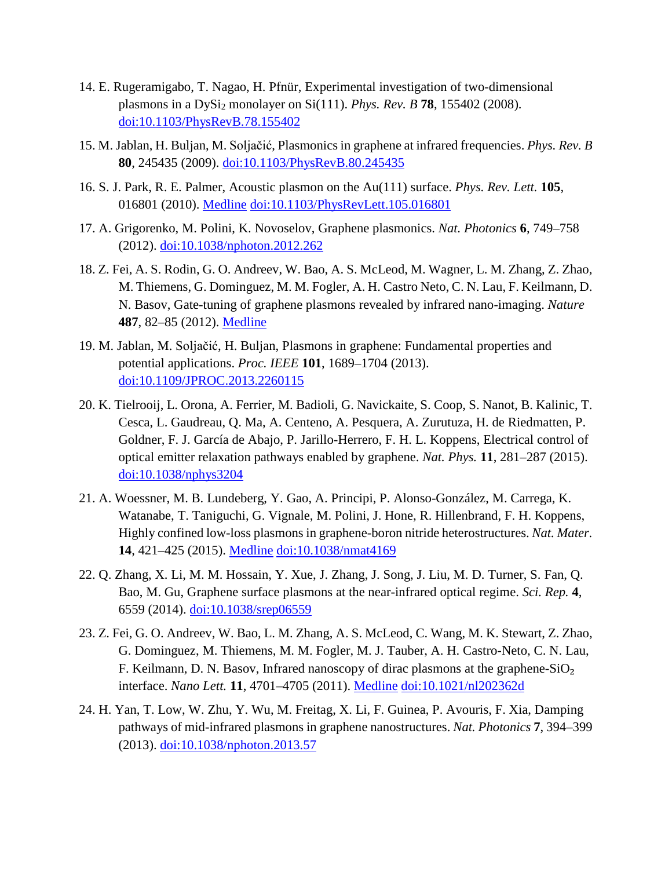- 14. E. Rugeramigabo, T. Nagao, H. Pfnür, Experimental investigation of two-dimensional plasmons in a DySi<sub>2</sub> monolayer on Si(111). *Phys. Rev. B* **78**, 155402 (2008). [doi:10.1103/PhysRevB.78.155402](http://dx.doi.org/10.1103/PhysRevB.78.155402)
- 15. M. Jablan, H. Buljan, M. Soljačić, Plasmonics in graphene at infrared frequencies. *Phys. Rev. B* **80**, 245435 (2009). [doi:10.1103/PhysRevB.80.245435](http://dx.doi.org/10.1103/PhysRevB.80.245435)
- 16. S. J. Park, R. E. Palmer, Acoustic plasmon on the Au(111) surface. *Phys. Rev. Lett.* **105**, 016801 (2010). [Medline](http://www.ncbi.nlm.nih.gov/entrez/query.fcgi?cmd=Retrieve&db=PubMed&list_uids=20867469&dopt=Abstract) [doi:10.1103/PhysRevLett.105.016801](http://dx.doi.org/10.1103/PhysRevLett.105.016801)
- 17. A. Grigorenko, M. Polini, K. Novoselov, Graphene plasmonics. *Nat. Photonics* **6**, 749–758 (2012). [doi:10.1038/nphoton.2012.262](http://dx.doi.org/10.1038/nphoton.2012.262)
- 18. Z. Fei, A. S. Rodin, G. O. Andreev, W. Bao, A. S. McLeod, M. Wagner, L. M. Zhang, Z. Zhao, M. Thiemens, G. Dominguez, M. M. Fogler, A. H. Castro Neto, C. N. Lau, F. Keilmann, D. N. Basov, Gate-tuning of graphene plasmons revealed by infrared nano-imaging. *Nature* **487**, 82–85 (2012). [Medline](http://www.ncbi.nlm.nih.gov/entrez/query.fcgi?cmd=Retrieve&db=PubMed&list_uids=22722866&dopt=Abstract)
- 19. M. Jablan, M. Soljačić, H. Buljan, Plasmons in graphene: Fundamental properties and potential applications. *Proc. IEEE* **101**, 1689–1704 (2013). [doi:10.1109/JPROC.2013.2260115](http://dx.doi.org/10.1109/JPROC.2013.2260115)
- 20. K. Tielrooij, L. Orona, A. Ferrier, M. Badioli, G. Navickaite, S. Coop, S. Nanot, B. Kalinic, T. Cesca, L. Gaudreau, Q. Ma, A. Centeno, A. Pesquera, A. Zurutuza, H. de Riedmatten, P. Goldner, F. J. García de Abajo, P. Jarillo-Herrero, F. H. L. Koppens, Electrical control of optical emitter relaxation pathways enabled by graphene. *Nat. Phys.* **11**, 281–287 (2015). [doi:10.1038/nphys3204](http://dx.doi.org/10.1038/nphys3204)
- 21. A. Woessner, M. B. Lundeberg, Y. Gao, A. Principi, P. Alonso-González, M. Carrega, K. Watanabe, T. Taniguchi, G. Vignale, M. Polini, J. Hone, R. Hillenbrand, F. H. Koppens, Highly confined low-loss plasmons in graphene-boron nitride heterostructures. *Nat. Mater.* **14**, 421–425 (2015). [Medline](http://www.ncbi.nlm.nih.gov/entrez/query.fcgi?cmd=Retrieve&db=PubMed&list_uids=25532073&dopt=Abstract) [doi:10.1038/nmat4169](http://dx.doi.org/10.1038/nmat4169)
- 22. Q. Zhang, X. Li, M. M. Hossain, Y. Xue, J. Zhang, J. Song, J. Liu, M. D. Turner, S. Fan, Q. Bao, M. Gu, Graphene surface plasmons at the near-infrared optical regime. *Sci. Rep.* **4**, 6559 (2014). doi:10.1038/srep06559
- 23. Z. Fei, G. O. Andreev, W. Bao, L. M. Zhang, A. S. McLeod, C. Wang, M. K. Stewart, Z. Zhao, G. Dominguez, M. Thiemens, M. M. Fogler, M. J. Tauber, A. H. Castro-Neto, C. N. Lau, F. Keilmann, D. N. Basov, Infrared nanoscopy of dirac plasmons at the graphene- $SiO<sub>2</sub>$ interface. *Nano Lett.* **11**, 4701–4705 (2011). [Medline](http://www.ncbi.nlm.nih.gov/entrez/query.fcgi?cmd=Retrieve&db=PubMed&list_uids=21972938&dopt=Abstract) [doi:10.1021/nl202362d](http://dx.doi.org/10.1021/nl202362d)
- 24. H. Yan, T. Low, W. Zhu, Y. Wu, M. Freitag, X. Li, F. Guinea, P. Avouris, F. Xia, Damping pathways of mid-infrared plasmons in graphene nanostructures. *Nat. Photonics* **7**, 394–399 (2013). [doi:10.1038/nphoton.2013.57](http://dx.doi.org/10.1038/nphoton.2013.57)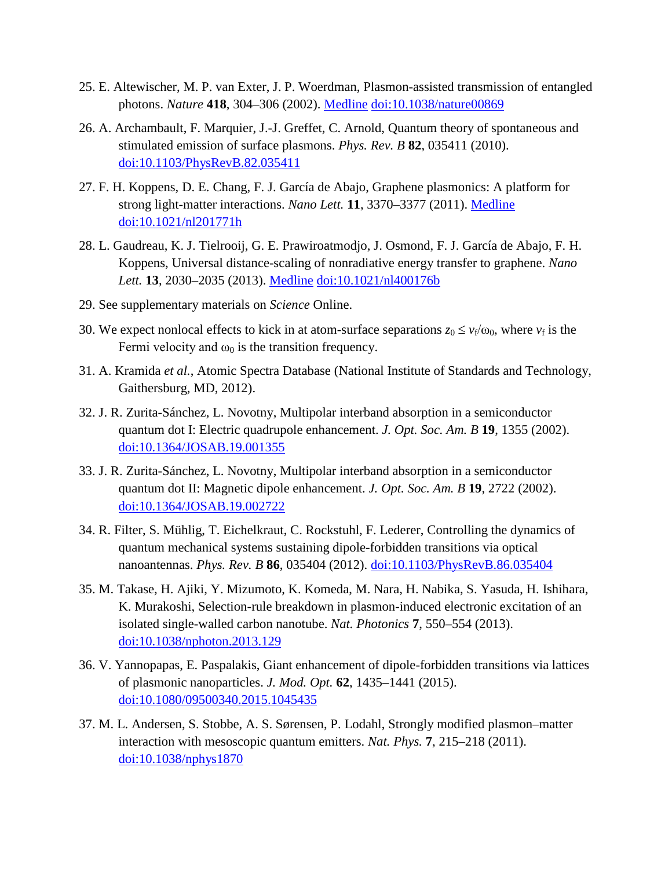- 25. E. Altewischer, M. P. van Exter, J. P. Woerdman, Plasmon-assisted transmission of entangled photons. *Nature* **418**, 304–306 (2002). [Medline](http://www.ncbi.nlm.nih.gov/entrez/query.fcgi?cmd=Retrieve&db=PubMed&list_uids=12124618&dopt=Abstract) [doi:10.1038/nature00869](http://dx.doi.org/10.1038/nature00869)
- 26. A. Archambault, F. Marquier, J.-J. Greffet, C. Arnold, Quantum theory of spontaneous and stimulated emission of surface plasmons. *Phys. Rev. B* **82**, 035411 (2010). [doi:10.1103/PhysRevB.82.035411](http://dx.doi.org/10.1103/PhysRevB.82.035411)
- 27. F. H. Koppens, D. E. Chang, F. J. García de Abajo, Graphene plasmonics: A platform for strong light-matter interactions. *Nano Lett.* **11**, 3370–3377 (2011). [Medline](http://www.ncbi.nlm.nih.gov/entrez/query.fcgi?cmd=Retrieve&db=PubMed&list_uids=21766812&dopt=Abstract) [doi:10.1021/nl201771h](http://dx.doi.org/10.1021/nl201771h)
- 28. L. Gaudreau, K. J. Tielrooij, G. E. Prawiroatmodjo, J. Osmond, F. J. García de Abajo, F. H. Koppens, Universal distance-scaling of nonradiative energy transfer to graphene. *Nano Lett.* **13**, 2030–2035 (2013). [Medline](http://www.ncbi.nlm.nih.gov/entrez/query.fcgi?cmd=Retrieve&db=PubMed&list_uids=23488979&dopt=Abstract) [doi:10.1021/nl400176b](http://dx.doi.org/10.1021/nl400176b)
- 29. See supplementary materials on *Science* Online.
- 30. We expect nonlocal effects to kick in at atom-surface separations  $z_0 \le v_f/\omega_0$ , where  $v_f$  is the Fermi velocity and  $\omega_0$  is the transition frequency.
- 31. A. Kramida *et al.*, Atomic Spectra Database (National Institute of Standards and Technology, Gaithersburg, MD, 2012).
- 32. J. R. Zurita-Sánchez, L. Novotny, Multipolar interband absorption in a semiconductor quantum dot I: Electric quadrupole enhancement. *J. Opt. Soc. Am. B* **19**, 1355 (2002). [doi:10.1364/JOSAB.19.001355](http://dx.doi.org/10.1364/JOSAB.19.001355)
- 33. J. R. Zurita-Sánchez, L. Novotny, Multipolar interband absorption in a semiconductor quantum dot II: Magnetic dipole enhancement. *J. Opt. Soc. Am. B* **19**, 2722 (2002). [doi:10.1364/JOSAB.19.002722](http://dx.doi.org/10.1364/JOSAB.19.002722)
- 34. R. Filter, S. Mühlig, T. Eichelkraut, C. Rockstuhl, F. Lederer, Controlling the dynamics of quantum mechanical systems sustaining dipole-forbidden transitions via optical nanoantennas. *Phys. Rev. B* **86**, 035404 (2012). [doi:10.1103/PhysRevB.86.035404](http://dx.doi.org/10.1103/PhysRevB.86.035404)
- 35. M. Takase, H. Ajiki, Y. Mizumoto, K. Komeda, M. Nara, H. Nabika, S. Yasuda, H. Ishihara, K. Murakoshi, Selection-rule breakdown in plasmon-induced electronic excitation of an isolated single-walled carbon nanotube. *Nat. Photonics* **7**, 550–554 (2013). [doi:10.1038/nphoton.2013.129](http://dx.doi.org/10.1038/nphoton.2013.129)
- 36. V. Yannopapas, E. Paspalakis, Giant enhancement of dipole-forbidden transitions via lattices of plasmonic nanoparticles. *J. Mod. Opt.* **62**, 1435–1441 (2015). [doi:10.1080/09500340.2015.1045435](http://dx.doi.org/10.1080/09500340.2015.1045435)
- 37. M. L. Andersen, S. Stobbe, A. S. Sørensen, P. Lodahl, Strongly modified plasmon–matter interaction with mesoscopic quantum emitters. *Nat. Phys.* **7**, 215–218 (2011). [doi:10.1038/nphys1870](http://dx.doi.org/10.1038/nphys1870)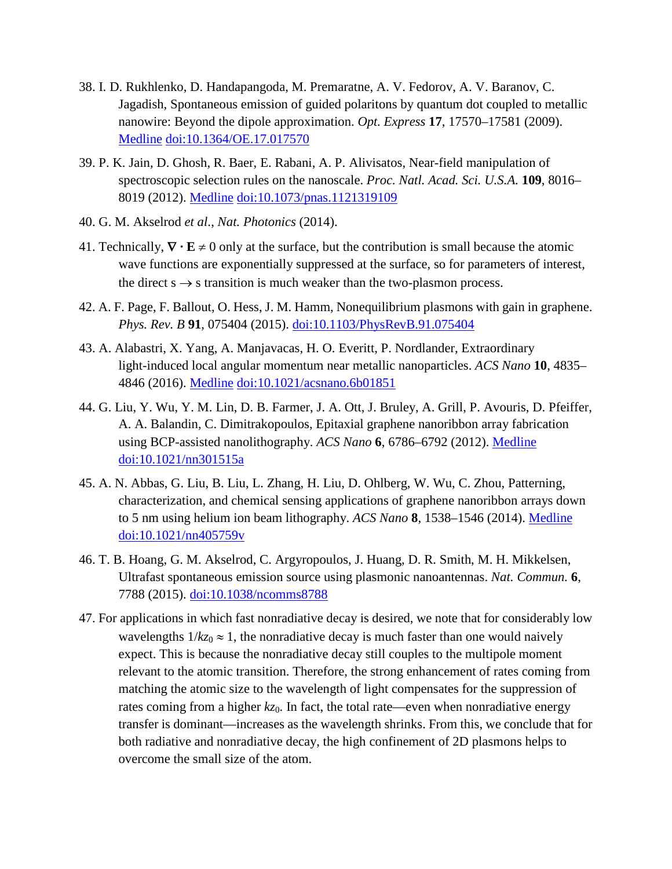- 38. I. D. Rukhlenko, D. Handapangoda, M. Premaratne, A. V. Fedorov, A. V. Baranov, C. Jagadish, Spontaneous emission of guided polaritons by quantum dot coupled to metallic nanowire: Beyond the dipole approximation. *Opt. Express* **17**, 17570–17581 (2009)[.](http://www.ncbi.nlm.nih.gov/entrez/query.fcgi?cmd=Retrieve&db=PubMed&list_uids=19907541&dopt=Abstract) [Medline](http://www.ncbi.nlm.nih.gov/entrez/query.fcgi?cmd=Retrieve&db=PubMed&list_uids=19907541&dopt=Abstract) [doi:10.1364/OE.17.017570](http://dx.doi.org/10.1364/OE.17.017570)
- 39. P. K. Jain, D. Ghosh, R. Baer, E. Rabani, A. P. Alivisatos, Near-field manipulation of spectroscopic selection rules on the nanoscale. *Proc. Natl. Acad. Sci. U.S.A.* **109**, 8016– 8019 (2012). [Medline](http://www.ncbi.nlm.nih.gov/entrez/query.fcgi?cmd=Retrieve&db=PubMed&list_uids=22566662&dopt=Abstract) [doi:10.1073/pnas.1121319109](http://dx.doi.org/10.1073/pnas.1121319109)
- 40. G. M. Akselrod *et al*., *Nat. Photonics* (2014).
- 41. Technically, ∇ **· E** ≠ 0 only at the surface, but the contribution is small because the atomic wave functions are exponentially suppressed at the surface, so for parameters of interest, the direct  $s \rightarrow s$  transition is much weaker than the two-plasmon process.
- 42. A. F. Page, F. Ballout, O. Hess, J. M. Hamm, Nonequilibrium plasmons with gain in graphene. *Phys. Rev. B* **91**, 075404 (2015). [doi:10.1103/PhysRevB.91.075404](http://dx.doi.org/10.1103/PhysRevB.91.075404)
- 43. A. Alabastri, X. Yang, A. Manjavacas, H. O. Everitt, P. Nordlander, Extraordinary light-induced local angular momentum near metallic nanoparticles. *ACS Nano* **10**, 4835– 4846 (2016). [Medline](http://www.ncbi.nlm.nih.gov/entrez/query.fcgi?cmd=Retrieve&db=PubMed&list_uids=27045994&dopt=Abstract) [doi:10.1021/acsnano.6b01851](http://dx.doi.org/10.1021/acsnano.6b01851)
- 44. G. Liu, Y. Wu, Y. M. Lin, D. B. Farmer, J. A. Ott, J. Bruley, A. Grill, P. Avouris, D. Pfeiffer, A. A. Balandin, C. Dimitrakopoulos, Epitaxial graphene nanoribbon array fabrication using BCP-assisted nanolithography. *ACS Nano* **6**, 6786–6792 (2012). [Medline](http://www.ncbi.nlm.nih.gov/entrez/query.fcgi?cmd=Retrieve&db=PubMed&list_uids=22780305&dopt=Abstract) [doi:10.1021/nn301515a](http://dx.doi.org/10.1021/nn301515a)
- 45. A. N. Abbas, G. Liu, B. Liu, L. Zhang, H. Liu, D. Ohlberg, W. Wu, C. Zhou, Patterning, characterization, and chemical sensing applications of graphene nanoribbon arrays down to 5 nm using helium ion beam lithography. *ACS Nano* **8**, 1538–1546 (2014). [Medline](http://www.ncbi.nlm.nih.gov/entrez/query.fcgi?cmd=Retrieve&db=PubMed&list_uids=24467172&dopt=Abstract) [doi:10.1021/nn405759v](http://dx.doi.org/10.1021/nn405759v)
- 46. T. B. Hoang, G. M. Akselrod, C. Argyropoulos, J. Huang, D. R. Smith, M. H. Mikkelsen, Ultrafast spontaneous emission source using plasmonic nanoantennas. *Nat. Commun.* **6**, 7788 (2015). [doi:10.1038/ncomms8788](http://dx.doi.org/10.1038/ncomms8788)
- 47. For applications in which fast nonradiative decay is desired, we note that for considerably low wavelengths  $1/kz_0 \approx 1$ , the nonradiative decay is much faster than one would naively expect. This is because the nonradiative decay still couples to the multipole moment relevant to the atomic transition. Therefore, the strong enhancement of rates coming from matching the atomic size to the wavelength of light compensates for the suppression of rates coming from a higher  $kz_0$ . In fact, the total rate—even when nonradiative energy transfer is dominant—increases as the wavelength shrinks. From this, we conclude that for both radiative and nonradiative decay, the high confinement of 2D plasmons helps to overcome the small size of the atom.